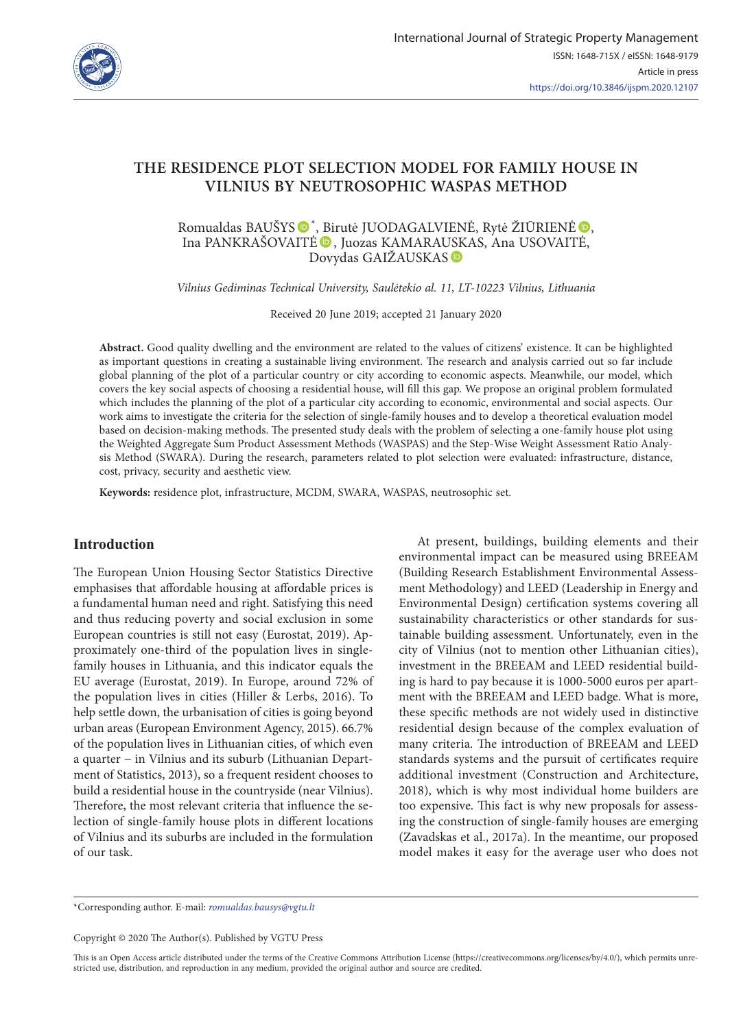

# **THE RESIDENCE PLOT SELECTION MODEL FOR FAMILY HOUSE IN VILNIUS BY NEUTROSOPHIC WASPAS METHOD**

Romualdas BAUŠYS  $\bullet^*$ , [Bi](https://orcid.org/0000-0001-5127-3605)rutė JUODAGALVIENĖ[,](https://orcid.org/0000-0003-2831-4020) Rytė ŽIŪRIENĖ  $\bullet$ , Ina PANKRAŠOVA[ITĖ](https://orcid.org/0000-0002-6284-0406) <sup>®</sup>, Juozas KAMARA[USK](https://orcid.org/0000-0002-8414-9691)AS, Ana USOVAITĖ, Dovydas GAIŽAUSKAS<sup>®</sup>

*Vilnius Gediminas Technical University, Saulėtekio al. 11, LT-10223 Vilnius, Lithuania*

Received 20 June 2019; accepted 21 January 2020

**Abstract.** Good quality dwelling and the environment are related to the values of citizens' existence. It can be highlighted as important questions in creating a sustainable living environment. The research and analysis carried out so far include global planning of the plot of a particular country or city according to economic aspects. Meanwhile, our model, which covers the key social aspects of choosing a residential house, will fill this gap. We propose an original problem formulated which includes the planning of the plot of a particular city according to economic, environmental and social aspects. Our work aims to investigate the criteria for the selection of single-family houses and to develop a theoretical evaluation model based on decision-making methods. The presented study deals with the problem of selecting a one-family house plot using the Weighted Aggregate Sum Product Assessment Methods (WASPAS) and the Step-Wise Weight Assessment Ratio Analysis Method (SWARA). During the research, parameters related to plot selection were evaluated: infrastructure, distance, cost, privacy, security and aesthetic view.

**Keywords:** residence plot, infrastructure, MCDM, SWARA, WASPAS, neutrosophic set.

# **Introduction**

The European Union Housing Sector Statistics Directive emphasises that affordable housing at affordable prices is a fundamental human need and right. Satisfying this need and thus reducing poverty and social exclusion in some European countries is still not easy (Eurostat, 2019). Approximately one-third of the population lives in singlefamily houses in Lithuania, and this indicator equals the EU average (Eurostat, 2019). In Europe, around 72% of the population lives in cities (Hiller & Lerbs, 2016). To help settle down, the urbanisation of cities is going beyond urban areas (European Environment Agency, 2015). 66.7% of the population lives in Lithuanian cities, of which even a quarter − in Vilnius and its suburb (Lithuanian Department of Statistics, 2013), so a frequent resident chooses to build a residential house in the countryside (near Vilnius). Therefore, the most relevant criteria that influence the selection of single-family house plots in different locations of Vilnius and its suburbs are included in the formulation of our task.

At present, buildings, building elements and their environmental impact can be measured using BREEAM (Building Research Establishment Environmental Assessment Methodology) and LEED (Leadership in Energy and Environmental Design) certification systems covering all sustainability characteristics or other standards for sustainable building assessment. Unfortunately, even in the city of Vilnius (not to mention other Lithuanian cities), investment in the BREEAM and LEED residential building is hard to pay because it is 1000-5000 euros per apartment with the BREEAM and LEED badge. What is more, these specific methods are not widely used in distinctive residential design because of the complex evaluation of many criteria. The introduction of BREEAM and LEED standards systems and the pursuit of certificates require additional investment (Construction and Architecture, 2018), which is why most individual home builders are too expensive. This fact is why new proposals for assessing the construction of single-family houses are emerging (Zavadskas et al., 2017a). In the meantime, our proposed model makes it easy for the average user who does not

\*Corresponding author. E-mail: *romualdas.bausys@vgtu.lt*

Copyright © 2020 The Author(s). Published by VGTU Press

This is an Open Access article distributed under the terms of the Creative Commons Attribution License [\(https://creativecommons.org/licenses/by/4.0/\)](http://creativecommons.org/licenses/by/4.0/), which permits unrestricted use, distribution, and reproduction in any medium, provided the original author and source are credited.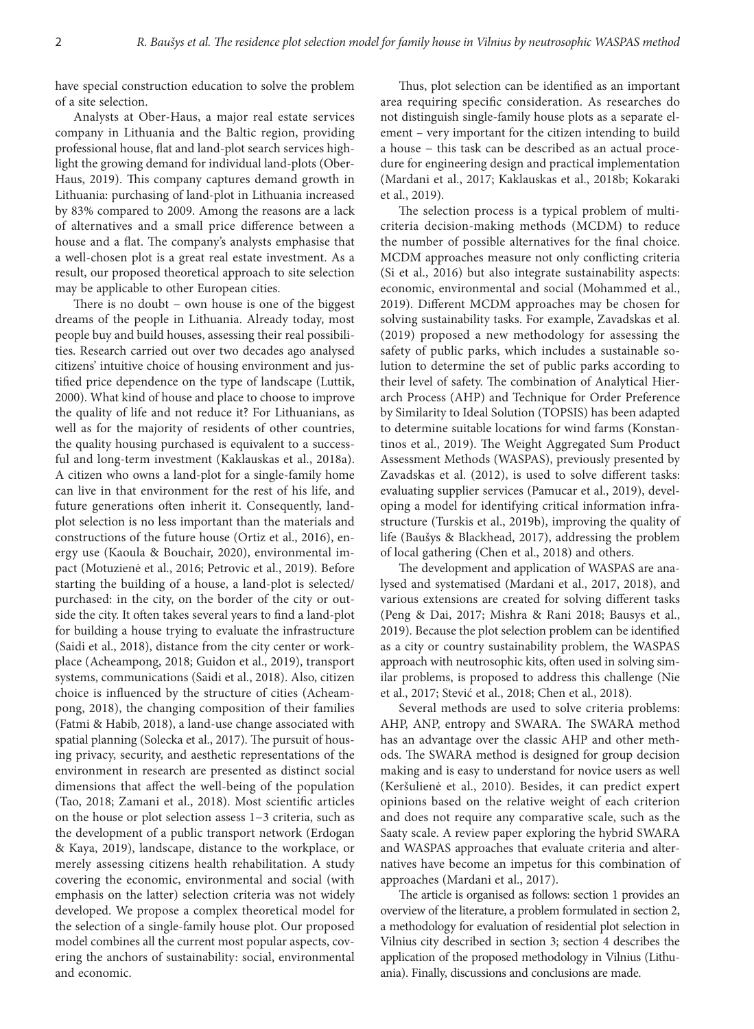have special construction education to solve the problem of a site selection.

Analysts at Ober-Haus, a major real estate services company in Lithuania and the Baltic region, providing professional house, flat and land-plot search services highlight the growing demand for individual land-plots (Ober-Haus, 2019). This company captures demand growth in Lithuania: purchasing of land-plot in Lithuania increased by 83% compared to 2009. Among the reasons are a lack of alternatives and a small price difference between a house and a flat. The company's analysts emphasise that a well-chosen plot is a great real estate investment. As a result, our proposed theoretical approach to site selection may be applicable to other European cities.

There is no doubt − own house is one of the biggest dreams of the people in Lithuania. Already today, most people buy and build houses, assessing their real possibilities. Research carried out over two decades ago analysed citizens' intuitive choice of housing environment and justified price dependence on the type of landscape (Luttik, 2000). What kind of house and place to choose to improve the quality of life and not reduce it? For Lithuanians, as well as for the majority of residents of other countries, the quality housing purchased is equivalent to a successful and long-term investment (Kaklauskas et al., 2018a). A citizen who owns a land-plot for a single-family home can live in that environment for the rest of his life, and future generations often inherit it. Consequently, landplot selection is no less important than the materials and constructions of the future house (Ortiz et al., 2016), energy use (Kaoula & Bouchair, 2020), environmental impact (Motuzienė et al., 2016; Petrovic et al., 2019). Before starting the building of a house, a land-plot is selected/ purchased: in the city, on the border of the city or outside the city. It often takes several years to find a land-plot for building a house trying to evaluate the infrastructure (Saidi et al., 2018), distance from the city center or workplace (Acheampong, 2018; Guidon et al., 2019), transport systems, communications (Saidi et al., 2018). Also, citizen choice is influenced by the structure of cities (Acheampong, 2018), the changing composition of their families (Fatmi & Habib, 2018), a land-use change associated with spatial planning (Solecka et al., 2017). The pursuit of housing privacy, security, and aesthetic representations of the environment in research are presented as distinct social dimensions that affect the well-being of the population (Tao, 2018; Zamani et al., 2018). Most scientific articles on the house or plot selection assess 1−3 criteria, such as the development of a public transport network (Erdogan & Kaya, 2019), landscape, distance to the workplace, or merely assessing citizens health rehabilitation. A study covering the economic, environmental and social (with emphasis on the latter) selection criteria was not widely developed. We propose a complex theoretical model for the selection of a single-family house plot. Our proposed model combines all the current most popular aspects, covering the anchors of sustainability: social, environmental and economic.

Thus, plot selection can be identified as an important area requiring specific consideration. As researches do not distinguish single-family house plots as a separate element – very important for the citizen intending to build a house − this task can be described as an actual procedure for engineering design and practical implementation (Mardani et al., 2017; Kaklauskas et al., 2018b; Kokaraki et al., 2019).

The selection process is a typical problem of multicriteria decision-making methods (MCDM) to reduce the number of possible alternatives for the final choice. MCDM approaches measure not only conflicting criteria (Si et al., 2016) but also integrate sustainability aspects: economic, environmental and social (Mohammed et al., 2019). Different MCDM approaches may be chosen for solving sustainability tasks. For example, Zavadskas et al. (2019) proposed a new methodology for assessing the safety of public parks, which includes a sustainable solution to determine the set of public parks according to their level of safety. The combination of Analytical Hierarch Process (AHP) and Technique for Order Preference by Similarity to Ideal Solution (TOPSIS) has been adapted to determine suitable locations for wind farms (Konstantinos et al., 2019). The Weight Aggregated Sum Product Assessment Methods (WASPAS), previously presented by Zavadskas et al. (2012), is used to solve different tasks: evaluating supplier services (Pamucar et al., 2019), developing a model for identifying critical information infrastructure (Turskis et al., 2019b), improving the quality of life (Baušys & Blackhead, 2017), addressing the problem of local gathering (Chen et al., 2018) and others.

The development and application of WASPAS are analysed and systematised (Mardani et al., 2017, 2018), and various extensions are created for solving different tasks (Peng & Dai, 2017; Mishra & Rani 2018; Bausys et al., 2019). Because the plot selection problem can be identified as a city or country sustainability problem, the WASPAS approach with neutrosophic kits, often used in solving similar problems, is proposed to address this challenge (Nie et al., 2017; Stević et al., 2018; Chen et al., 2018).

Several methods are used to solve criteria problems: AHP, ANP, entropy and SWARA. The SWARA method has an advantage over the classic AHP and other methods. The SWARA method is designed for group decision making and is easy to understand for novice users as well (Keršulienė et al., 2010). Besides, it can predict expert opinions based on the relative weight of each criterion and does not require any comparative scale, such as the Saaty scale. A review paper exploring the hybrid SWARA and WASPAS approaches that evaluate criteria and alternatives have become an impetus for this combination of approaches (Mardani et al., 2017).

The article is organised as follows: section 1 provides an overview of the literature, a problem formulated in section 2, a methodology for evaluation of residential plot selection in Vilnius city described in section 3; section 4 describes the application of the proposed methodology in Vilnius (Lithuania). Finally, discussions and conclusions are made.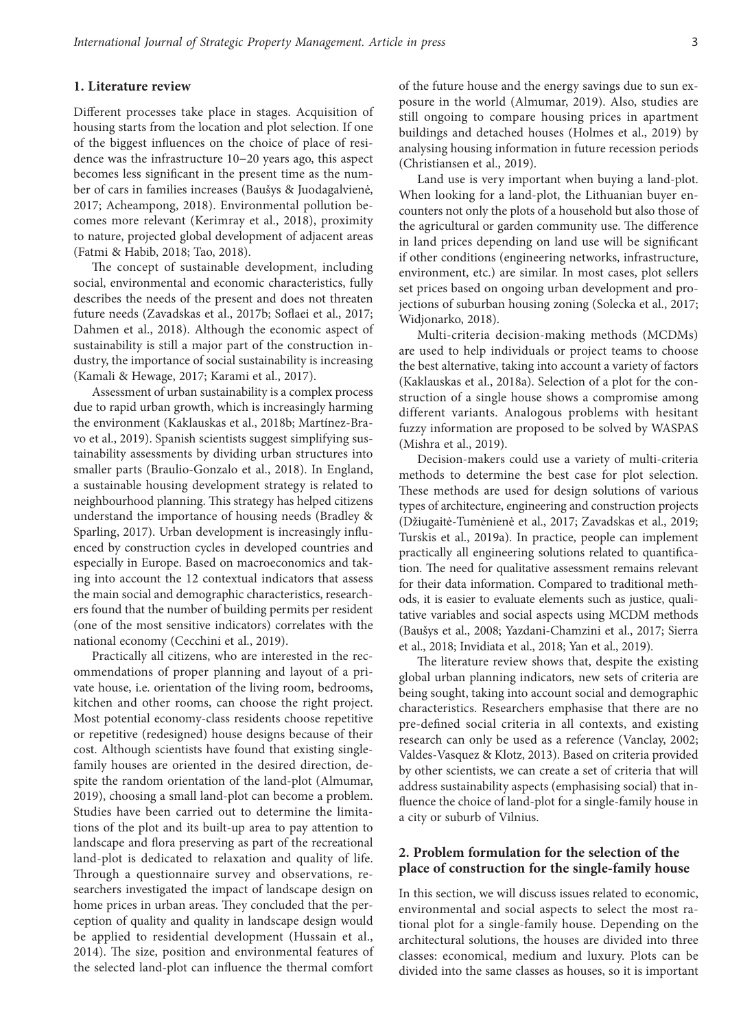## **1. Literature review**

Different processes take place in stages. Acquisition of housing starts from the location and plot selection. If one of the biggest influences on the choice of place of residence was the infrastructure 10−20 years ago, this aspect becomes less significant in the present time as the number of cars in families increases (Baušys & Juodagalvienė, 2017; Acheampong, 2018). Environmental pollution becomes more relevant (Kerimray et al., 2018), proximity to nature, projected global development of adjacent areas (Fatmi & Habib, 2018; Tao, 2018).

The concept of sustainable development, including social, environmental and economic characteristics, fully describes the needs of the present and does not threaten future needs (Zavadskas et al., 2017b; Soflaei et al., 2017; Dahmen et al., 2018). Although the economic aspect of sustainability is still a major part of the construction industry, the importance of social sustainability is increasing (Kamali & Hewage, 2017; Karami et al., 2017).

Assessment of urban sustainability is a complex process due to rapid urban growth, which is increasingly harming the environment (Kaklauskas et al., 2018b; Martínez-Bravo et al., 2019). Spanish scientists suggest simplifying sustainability assessments by dividing urban structures into smaller parts (Braulio-Gonzalo et al., 2018). In England, a sustainable housing development strategy is related to neighbourhood planning. This strategy has helped citizens understand the importance of housing needs (Bradley & Sparling, 2017). Urban development is increasingly influenced by construction cycles in developed countries and especially in Europe. Based on macroeconomics and taking into account the 12 contextual indicators that assess the main social and demographic characteristics, researchers found that the number of building permits per resident (one of the most sensitive indicators) correlates with the national economy (Cecchini et al., 2019).

Practically all citizens, who are interested in the recommendations of proper planning and layout of a private house, i.e. orientation of the living room, bedrooms, kitchen and other rooms, can choose the right project. Most potential economy-class residents choose repetitive or repetitive (redesigned) house designs because of their cost. Although scientists have found that existing singlefamily houses are oriented in the desired direction, despite the random orientation of the land-plot (Almumar, 2019), choosing a small land-plot can become a problem. Studies have been carried out to determine the limitations of the plot and its built-up area to pay attention to landscape and flora preserving as part of the recreational land-plot is dedicated to relaxation and quality of life. Through a questionnaire survey and observations, researchers investigated the impact of landscape design on home prices in urban areas. They concluded that the perception of quality and quality in landscape design would be applied to residential development (Hussain et al., 2014). The size, position and environmental features of the selected land-plot can influence the thermal comfort of the future house and the energy savings due to sun exposure in the world (Almumar, 2019). Also, studies are still ongoing to compare housing prices in apartment buildings and detached houses (Holmes et al., 2019) by analysing housing information in future recession periods (Christiansen et al., 2019).

Land use is very important when buying a land-plot. When looking for a land-plot, the Lithuanian buyer encounters not only the plots of a household but also those of the agricultural or garden community use. The difference in land prices depending on land use will be significant if other conditions (engineering networks, infrastructure, environment, etc.) are similar. In most cases, plot sellers set prices based on ongoing urban development and projections of suburban housing zoning (Solecka et al., 2017; Widjonarko, 2018).

Multi-criteria decision-making methods (MCDMs) are used to help individuals or project teams to choose the best alternative, taking into account a variety of factors (Kaklauskas et al., 2018a). Selection of a plot for the construction of a single house shows a compromise among different variants. Analogous problems with hesitant fuzzy information are proposed to be solved by WASPAS (Mishra et al., 2019).

Decision-makers could use a variety of multi-criteria methods to determine the best case for plot selection. These methods are used for design solutions of various types of architecture, engineering and construction projects (Džiugaitė-Tumėnienė et al., 2017; Zavadskas et al., 2019; Turskis et al., 2019a). In practice, people can implement practically all engineering solutions related to quantification. The need for qualitative assessment remains relevant for their data information. Compared to traditional methods, it is easier to evaluate elements such as justice, qualitative variables and social aspects using MCDM methods (Baušys et al., 2008; Yazdani-Chamzini et al., 2017; Sierra et al., 2018; Invidiata et al., 2018; Yan et al., 2019).

The literature review shows that, despite the existing global urban planning indicators, new sets of criteria are being sought, taking into account social and demographic characteristics. Researchers emphasise that there are no pre-defined social criteria in all contexts, and existing research can only be used as a reference (Vanclay, 2002; Valdes-Vasquez & Klotz, 2013). Based on criteria provided by other scientists, we can create a set of criteria that will address sustainability aspects (emphasising social) that influence the choice of land-plot for a single-family house in a city or suburb of Vilnius.

# **2. Problem formulation for the selection of the place of construction for the single-family house**

In this section, we will discuss issues related to economic, environmental and social aspects to select the most rational plot for a single-family house. Depending on the architectural solutions, the houses are divided into three classes: economical, medium and luxury. Plots can be divided into the same classes as houses, so it is important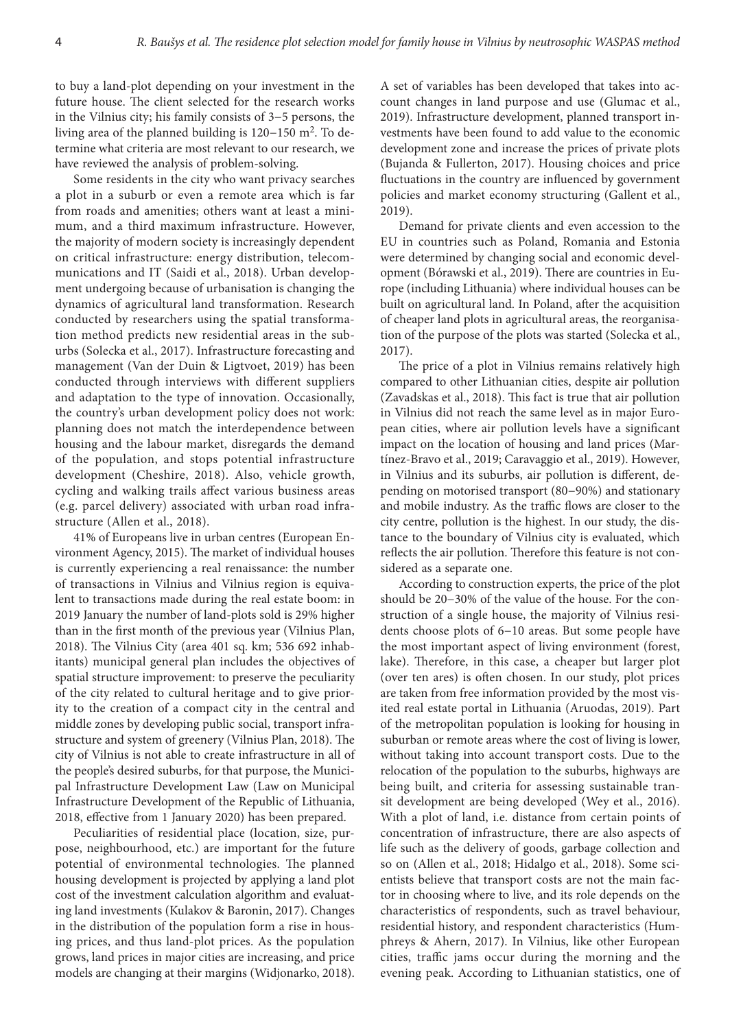to buy a land-plot depending on your investment in the future house. The client selected for the research works in the Vilnius city; his family consists of 3−5 persons, the living area of the planned building is  $120-150$  m<sup>2</sup>. To determine what criteria are most relevant to our research, we have reviewed the analysis of problem-solving.

Some residents in the city who want privacy searches a plot in a suburb or even a remote area which is far from roads and amenities; others want at least a minimum, and a third maximum infrastructure. However, the majority of modern society is increasingly dependent on critical infrastructure: energy distribution, telecommunications and IT (Saidi et al., 2018). Urban development undergoing because of urbanisation is changing the dynamics of agricultural land transformation. Research conducted by researchers using the spatial transformation method predicts new residential areas in the suburbs (Solecka et al., 2017). Infrastructure forecasting and management (Van der Duin & Ligtvoet, 2019) has been conducted through interviews with different suppliers and adaptation to the type of innovation. Occasionally, the country's urban development policy does not work: planning does not match the interdependence between housing and the labour market, disregards the demand of the population, and stops potential infrastructure development (Cheshire, 2018). Also, vehicle growth, cycling and walking trails affect various business areas (e.g. parcel delivery) associated with urban road infrastructure (Allen et al., 2018).

41% of Europeans live in urban centres (European Environment Agency, 2015). The market of individual houses is currently experiencing a real renaissance: the number of transactions in Vilnius and Vilnius region is equivalent to transactions made during the real estate boom: in 2019 January the number of land-plots sold is 29% higher than in the first month of the previous year (Vilnius Plan, 2018). The Vilnius City (area 401 sq. km; 536 692 inhabitants) municipal general plan includes the objectives of spatial structure improvement: to preserve the peculiarity of the city related to cultural heritage and to give priority to the creation of a compact city in the central and middle zones by developing public social, transport infrastructure and system of greenery (Vilnius Plan, 2018). The city of Vilnius is not able to create infrastructure in all of the people's desired suburbs, for that purpose, the Municipal Infrastructure Development Law (Law on Municipal Infrastructure Development of the Republic of Lithuania, 2018, effective from 1 January 2020) has been prepared.

Peculiarities of residential place (location, size, purpose, neighbourhood, etc.) are important for the future potential of environmental technologies. The planned housing development is projected by applying a land plot cost of the investment calculation algorithm and evaluating land investments (Kulakov & Baronin, 2017). Changes in the distribution of the population form a rise in housing prices, and thus land-plot prices. As the population grows, land prices in major cities are increasing, and price models are changing at their margins (Widjonarko, 2018).

A set of variables has been developed that takes into account changes in land purpose and use (Glumac et al., 2019). Infrastructure development, planned transport investments have been found to add value to the economic development zone and increase the prices of private plots (Bujanda & Fullerton, 2017). Housing choices and price fluctuations in the country are influenced by government policies and market economy structuring (Gallent et al., 2019).

Demand for private clients and even accession to the EU in countries such as Poland, Romania and Estonia were determined by changing social and economic development (Bórawski et al., 2019). There are countries in Europe (including Lithuania) where individual houses can be built on agricultural land. In Poland, after the acquisition of cheaper land plots in agricultural areas, the reorganisation of the purpose of the plots was started (Solecka et al., 2017).

The price of a plot in Vilnius remains relatively high compared to other Lithuanian cities, despite air pollution (Zavadskas et al., 2018). This fact is true that air pollution in Vilnius did not reach the same level as in major European cities, where air pollution levels have a significant impact on the location of housing and land prices (Martínez-Bravo et al., 2019; Caravaggio et al., 2019). However, in Vilnius and its suburbs, air pollution is different, depending on motorised transport (80−90%) and stationary and mobile industry. As the traffic flows are closer to the city centre, pollution is the highest. In our study, the distance to the boundary of Vilnius city is evaluated, which reflects the air pollution. Therefore this feature is not considered as a separate one.

According to construction experts, the price of the plot should be 20−30% of the value of the house. For the construction of a single house, the majority of Vilnius residents choose plots of 6−10 areas. But some people have the most important aspect of living environment (forest, lake). Therefore, in this case, a cheaper but larger plot (over ten ares) is often chosen. In our study, plot prices are taken from free information provided by the most visited real estate portal in Lithuania (Aruodas, 2019). Part of the metropolitan population is looking for housing in suburban or remote areas where the cost of living is lower, without taking into account transport costs. Due to the relocation of the population to the suburbs, highways are being built, and criteria for assessing sustainable transit development are being developed (Wey et al., 2016). With a plot of land, i.e. distance from certain points of concentration of infrastructure, there are also aspects of life such as the delivery of goods, garbage collection and so on (Allen et al., 2018; Hidalgo et al., 2018). Some scientists believe that transport costs are not the main factor in choosing where to live, and its role depends on the characteristics of respondents, such as travel behaviour, residential history, and respondent characteristics (Humphreys & Ahern, 2017). In Vilnius, like other European cities, traffic jams occur during the morning and the evening peak. According to Lithuanian statistics, one of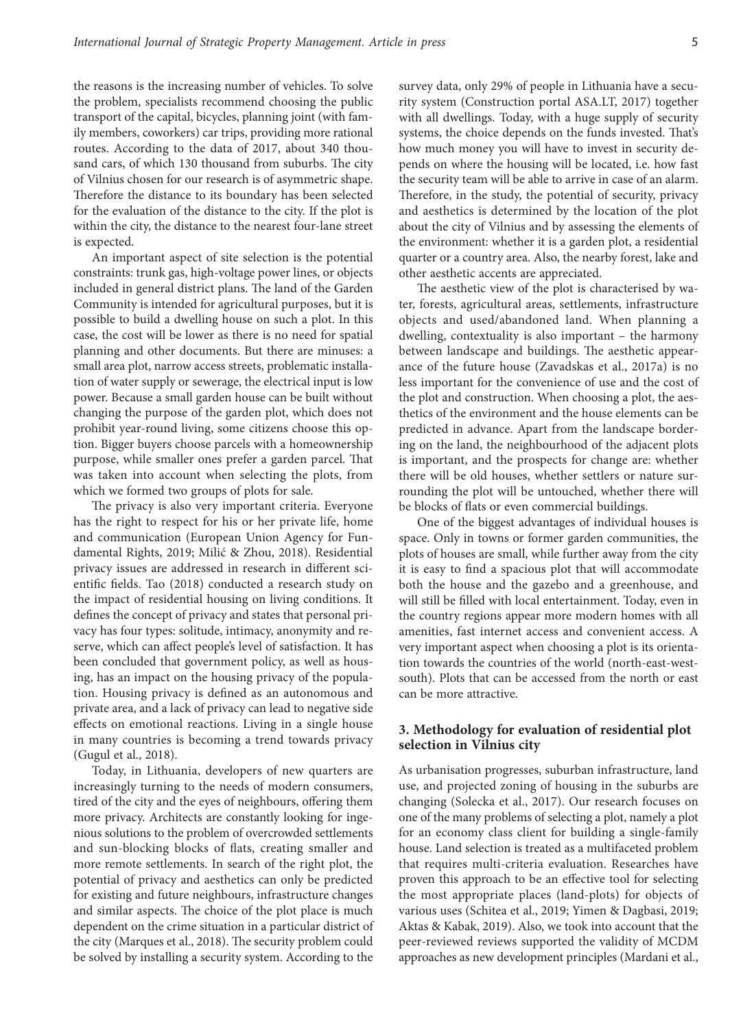the reasons is the increasing number of vehicles. To solve the problem, specialists recommend choosing the public transport of the capital, bicycles, planning joint (with family members, coworkers) car trips, providing more rational routes. According to the data of 2017, about 340 thousand cars, of which 130 thousand from suburbs. The city of Vilnius chosen for our research is of asymmetric shape. Therefore the distance to its boundary has been selected for the evaluation of the distance to the city. If the plot is within the city, the distance to the nearest four-lane street is expected.

An important aspect of site selection is the potential constraints: trunk gas, high-voltage power lines, or objects included in general district plans. The land of the Garden Community is intended for agricultural purposes, but it is possible to build a dwelling house on such a plot. In this case, the cost will be lower as there is no need for spatial planning and other documents. But there are minuses: a small area plot, narrow access streets, problematic installation of water supply or sewerage, the electrical input is low power. Because a small garden house can be built without changing the purpose of the garden plot, which does not prohibit year-round living, some citizens choose this option. Bigger buyers choose parcels with a homeownership purpose, while smaller ones prefer a garden parcel. That was taken into account when selecting the plots, from which we formed two groups of plots for sale.

The privacy is also very important criteria. Everyone has the right to respect for his or her private life, home and communication (European Union Agency for Fundamental Rights, 2019; Milić & Zhou, 2018). Residential privacy issues are addressed in research in different scientific fields. Tao (2018) conducted a research study on the impact of residential housing on living conditions. It defines the concept of privacy and states that personal privacy has four types: solitude, intimacy, anonymity and reserve, which can affect people's level of satisfaction. It has been concluded that government policy, as well as housing, has an impact on the housing privacy of the population. Housing privacy is defined as an autonomous and private area, and a lack of privacy can lead to negative side effects on emotional reactions. Living in a single house in many countries is becoming a trend towards privacy (Gugul et al., 2018).

Today, in Lithuania, developers of new quarters are increasingly turning to the needs of modern consumers, tired of the city and the eyes of neighbours, offering them more privacy. Architects are constantly looking for ingenious solutions to the problem of overcrowded settlements and sun-blocking blocks of flats, creating smaller and more remote settlements. In search of the right plot, the potential of privacy and aesthetics can only be predicted for existing and future neighbours, infrastructure changes and similar aspects. The choice of the plot place is much dependent on the crime situation in a particular district of the city (Marques et al., 2018). The security problem could be solved by installing a security system. According to the survey data, only 29% of people in Lithuania have a security system (Construction portal ASA.LT, 2017) together with all dwellings. Today, with a huge supply of security systems, the choice depends on the funds invested. That's how much money you will have to invest in security depends on where the housing will be located, i.e. how fast the security team will be able to arrive in case of an alarm. Therefore, in the study, the potential of security, privacy and aesthetics is determined by the location of the plot about the city of Vilnius and by assessing the elements of the environment: whether it is a garden plot, a residential quarter or a country area. Also, the nearby forest, lake and other aesthetic accents are appreciated.

The aesthetic view of the plot is characterised by water, forests, agricultural areas, settlements, infrastructure objects and used/abandoned land. When planning a dwelling, contextuality is also important – the harmony between landscape and buildings. The aesthetic appearance of the future house (Zavadskas et al., 2017a) is no less important for the convenience of use and the cost of the plot and construction. When choosing a plot, the aesthetics of the environment and the house elements can be predicted in advance. Apart from the landscape bordering on the land, the neighbourhood of the adjacent plots is important, and the prospects for change are: whether there will be old houses, whether settlers or nature surrounding the plot will be untouched, whether there will be blocks of flats or even commercial buildings.

One of the biggest advantages of individual houses is space. Only in towns or former garden communities, the plots of houses are small, while further away from the city it is easy to find a spacious plot that will accommodate both the house and the gazebo and a greenhouse, and will still be filled with local entertainment. Today, even in the country regions appear more modern homes with all amenities, fast internet access and convenient access. A very important aspect when choosing a plot is its orientation towards the countries of the world (north-east-westsouth). Plots that can be accessed from the north or east can be more attractive.

## **3. Methodology for evaluation of residential plot selection in Vilnius city**

As urbanisation progresses, suburban infrastructure, land use, and projected zoning of housing in the suburbs are changing (Solecka et al., 2017). Our research focuses on one of the many problems of selecting a plot, namely a plot for an economy class client for building a single-family house. Land selection is treated as a multifaceted problem that requires multi-criteria evaluation. Researches have proven this approach to be an effective tool for selecting the most appropriate places (land-plots) for objects of various uses (Schitea et al., 2019; Yimen & Dagbasi, 2019; Aktas & Kabak, 2019). Also, we took into account that the peer-reviewed reviews supported the validity of MCDM approaches as new development principles (Mardani et al.,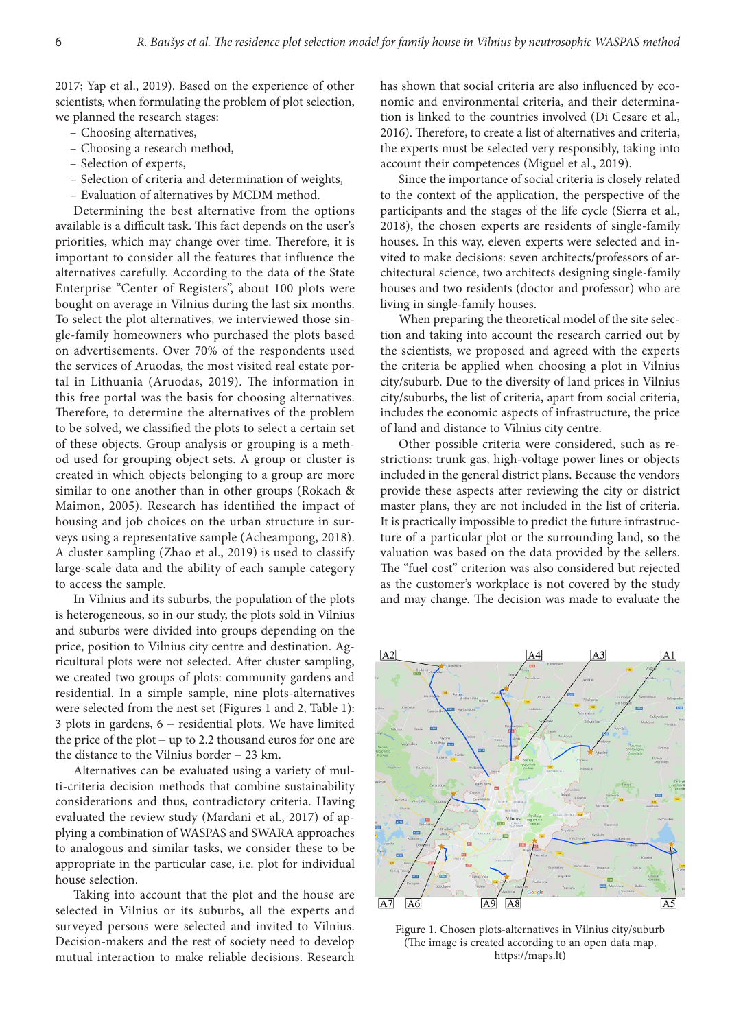2017; Yap et al., 2019). Based on the experience of other scientists, when formulating the problem of plot selection, we planned the research stages:

- Choosing alternatives,
- Choosing a research method,
- Selection of experts,
- Selection of criteria and determination of weights,
- Evaluation of alternatives by MCDM method.

Determining the best alternative from the options available is a difficult task. This fact depends on the user's priorities, which may change over time. Therefore, it is important to consider all the features that influence the alternatives carefully. According to the data of the State Enterprise "Center of Registers", about 100 plots were bought on average in Vilnius during the last six months. To select the plot alternatives, we interviewed those single-family homeowners who purchased the plots based on advertisements. Over 70% of the respondents used the services of Aruodas, the most visited real estate portal in Lithuania (Aruodas, 2019). The information in this free portal was the basis for choosing alternatives. Therefore, to determine the alternatives of the problem to be solved, we classified the plots to select a certain set of these objects. Group analysis or grouping is a method used for grouping object sets. A group or cluster is created in which objects belonging to a group are more similar to one another than in other groups (Rokach & Maimon, 2005). Research has identified the impact of housing and job choices on the urban structure in surveys using a representative sample (Acheampong, 2018). A cluster sampling (Zhao et al., 2019) is used to classify large-scale data and the ability of each sample category to access the sample.

In Vilnius and its suburbs, the population of the plots is heterogeneous, so in our study, the plots sold in Vilnius and suburbs were divided into groups depending on the price, position to Vilnius city centre and destination. Agricultural plots were not selected. After cluster sampling, we created two groups of plots: community gardens and residential. In a simple sample, nine plots-alternatives were selected from the nest set (Figures 1 and 2, Table 1): 3 plots in gardens, 6 − residential plots. We have limited the price of the plot − up to 2.2 thousand euros for one are the distance to the Vilnius border − 23 km.

Alternatives can be evaluated using a variety of multi-criteria decision methods that combine sustainability considerations and thus, contradictory criteria. Having evaluated the review study (Mardani et al., 2017) of applying a combination of WASPAS and SWARA approaches to analogous and similar tasks, we consider these to be appropriate in the particular case, i.e. plot for individual house selection.

Taking into account that the plot and the house are selected in Vilnius or its suburbs, all the experts and surveyed persons were selected and invited to Vilnius. Decision-makers and the rest of society need to develop mutual interaction to make reliable decisions. Research

has shown that social criteria are also influenced by economic and environmental criteria, and their determination is linked to the countries involved (Di Cesare et al., 2016). Therefore, to create a list of alternatives and criteria, the experts must be selected very responsibly, taking into account their competences (Miguel et al., 2019).

Since the importance of social criteria is closely related to the context of the application, the perspective of the participants and the stages of the life cycle (Sierra et al., 2018), the chosen experts are residents of single-family houses. In this way, eleven experts were selected and invited to make decisions: seven architects/professors of architectural science, two architects designing single-family houses and two residents (doctor and professor) who are living in single-family houses.

When preparing the theoretical model of the site selection and taking into account the research carried out by the scientists, we proposed and agreed with the experts the criteria be applied when choosing a plot in Vilnius city/suburb. Due to the diversity of land prices in Vilnius city/suburbs, the list of criteria, apart from social criteria, includes the economic aspects of infrastructure, the price of land and distance to Vilnius city centre.

Other possible criteria were considered, such as restrictions: trunk gas, high-voltage power lines or objects included in the general district plans. Because the vendors provide these aspects after reviewing the city or district master plans, they are not included in the list of criteria. It is practically impossible to predict the future infrastructure of a particular plot or the surrounding land, so the valuation was based on the data provided by the sellers. The "fuel cost" criterion was also considered but rejected as the customer's workplace is not covered by the study and may change. The decision was made to evaluate the



Figure 1. Chosen plots-alternatives in Vilnius city/suburb (The image is created according to an open data map, <https://maps.lt>)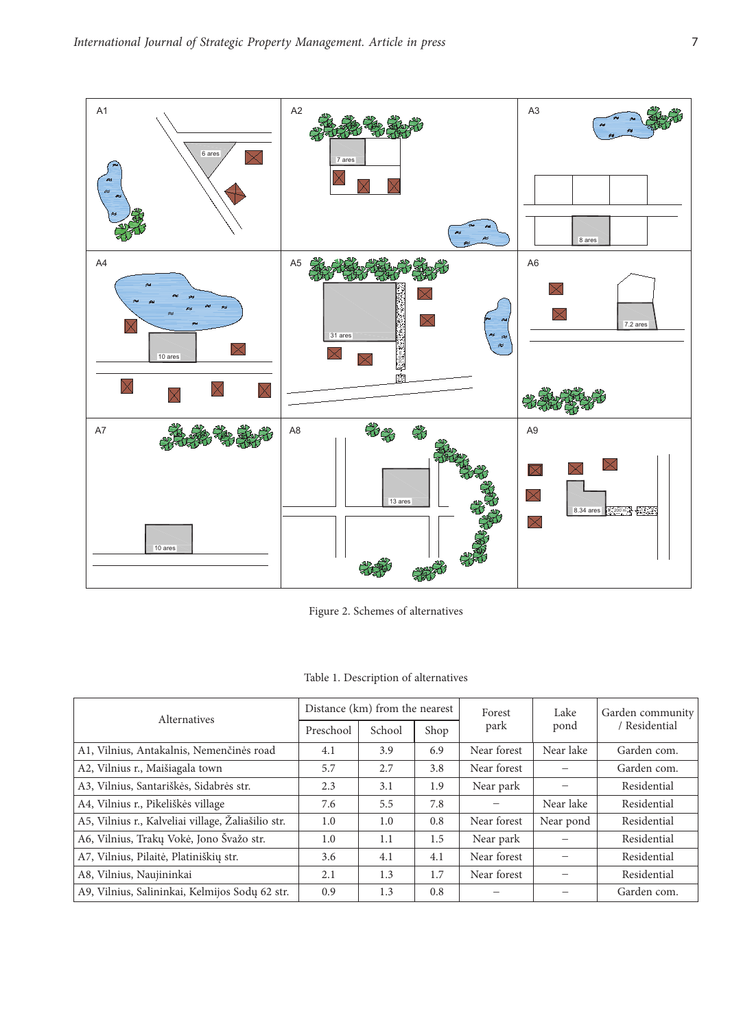

Figure 2. Schemes of alternatives

|  |  | Table 1. Description of alternatives |
|--|--|--------------------------------------|
|--|--|--------------------------------------|

| Alternatives                                       |           | Distance (km) from the nearest |      | Forest      | Lake      | Garden community<br>/ Residential |  |
|----------------------------------------------------|-----------|--------------------------------|------|-------------|-----------|-----------------------------------|--|
|                                                    | Preschool | School                         | Shop | park        | pond      |                                   |  |
| A1, Vilnius, Antakalnis, Nemenčinės road           | 4.1       | 3.9                            | 6.9  | Near forest | Near lake | Garden com.                       |  |
| A2, Vilnius r., Maišiagala town                    | 5.7       | 2.7                            | 3.8  | Near forest |           | Garden com.                       |  |
| A3, Vilnius, Santariškės, Sidabrės str.            | 2.3       | 3.1                            | 1.9  | Near park   |           | Residential                       |  |
| A4, Vilnius r., Pikeliškės village                 | 7.6       | 5.5                            | 7.8  |             | Near lake | Residential                       |  |
| A5, Vilnius r., Kalveliai village, Žaliašilio str. | 1.0       | 1.0                            | 0.8  | Near forest | Near pond | Residential                       |  |
| A6, Vilnius, Trakų Vokė, Jono Švažo str.           | 1.0       | 1.1                            | 1.5  | Near park   |           | Residential                       |  |
| A7, Vilnius, Pilaitė, Platiniškių str.             | 3.6       | 4.1                            | 4.1  | Near forest |           | Residential                       |  |
| A8, Vilnius, Naujininkai                           | 2.1       | 1.3                            | 1.7  | Near forest |           | Residential                       |  |
| A9, Vilnius, Salininkai, Kelmijos Sodų 62 str.     | 0.9       | 1.3                            | 0.8  |             |           | Garden com.                       |  |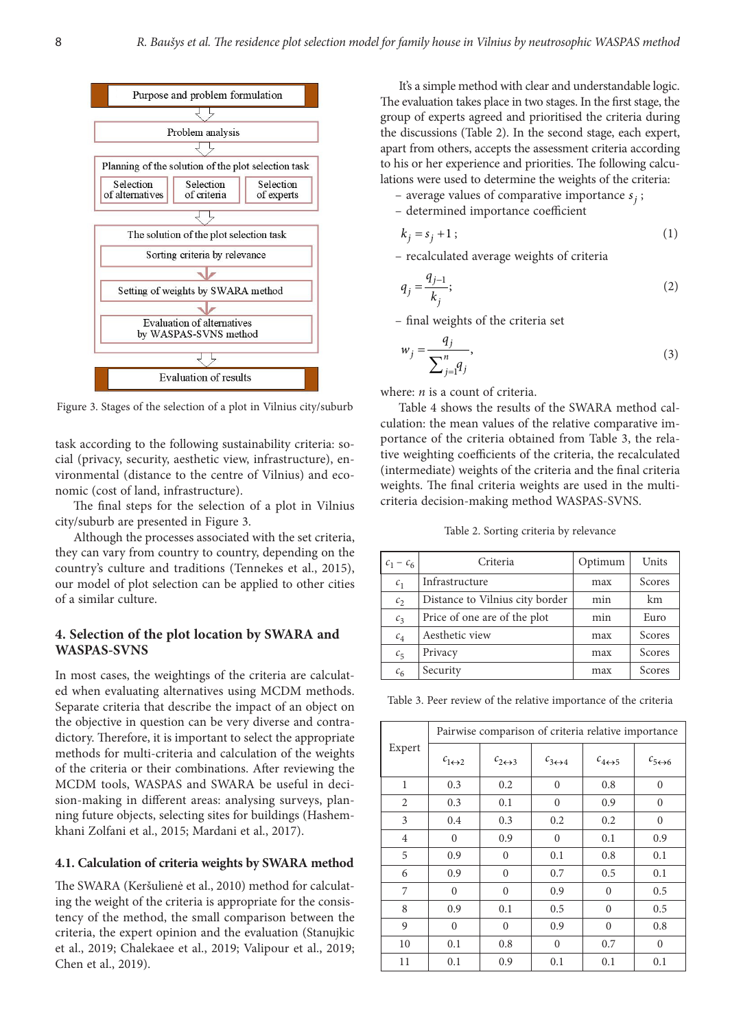

Figure 3. Stages of the selection of a plot in Vilnius city/suburb

task according to the following sustainability criteria: social (privacy, security, aesthetic view, infrastructure), environmental (distance to the centre of Vilnius) and economic (cost of land, infrastructure).

The final steps for the selection of a plot in Vilnius city/suburb are presented in Figure 3.

Although the processes associated with the set criteria, they can vary from country to country, depending on the country's culture and traditions (Tennekes et al., 2015), our model of plot selection can be applied to other cities of a similar culture.

# **4. Selection of the plot location by SWARA and WASPAS-SVNS**

In most cases, the weightings of the criteria are calculated when evaluating alternatives using MCDM methods. Separate criteria that describe the impact of an object on the objective in question can be very diverse and contradictory. Therefore, it is important to select the appropriate methods for multi-criteria and calculation of the weights of the criteria or their combinations. After reviewing the MCDM tools, WASPAS and SWARA be useful in decision-making in different areas: analysing surveys, planning future objects, selecting sites for buildings (Hashemkhani Zolfani et al., 2015; Mardani et al., 2017).

## **4.1. Calculation of criteria weights by SWARA method**

The SWARA (Keršulienė et al., 2010) method for calculating the weight of the criteria is appropriate for the consistency of the method, the small comparison between the criteria, the expert opinion and the evaluation (Stanujkic et al., 2019; Chalekaee et al., 2019; Valipour et al., 2019; Chen et al., 2019).

It's a simple method with clear and understandable logic. The evaluation takes place in two stages. In the first stage, the group of experts agreed and prioritised the criteria during the discussions (Table 2). In the second stage, each expert, apart from others, accepts the assessment criteria according to his or her experience and priorities. The following calculations were used to determine the weights of the criteria:

- average values of comparative importance  $s_i$ ;
- determined importance coefficient

$$
k_j = s_j + 1 \tag{1}
$$

– recalculated average weights of criteria

$$
q_j = \frac{q_{j-1}}{k_j};\tag{2}
$$

– final weights of the criteria set

$$
w_j = \frac{q_j}{\sum_{j=1}^n q_j},\tag{3}
$$

where: *n* is a count of criteria.

Table 4 shows the results of the SWARA method calculation: the mean values of the relative comparative importance of the criteria obtained from Table 3, the relative weighting coefficients of the criteria, the recalculated (intermediate) weights of the criteria and the final criteria weights. The final criteria weights are used in the multicriteria decision-making method WASPAS-SVNS.

Table 2. Sorting criteria by relevance

| $c_1 - c_6$    | Criteria                        | Optimum | Units  |
|----------------|---------------------------------|---------|--------|
| c <sub>1</sub> | Infrastructure                  | max     | Scores |
| c <sub>2</sub> | Distance to Vilnius city border | min     | km     |
| $c_3$          | Price of one are of the plot    | min     | Euro   |
| $c_4$          | Aesthetic view                  | max     | Scores |
| c <sub>5</sub> | Privacy                         | max     | Scores |
| $c_{6}$        | Security                        | max     | Scores |

Table 3. Peer review of the relative importance of the criteria

| Expert         | Pairwise comparison of criteria relative importance |                          |                          |                          |                          |  |  |  |  |  |
|----------------|-----------------------------------------------------|--------------------------|--------------------------|--------------------------|--------------------------|--|--|--|--|--|
|                | $c_{1\leftrightarrow 2}$                            | $c_{2\leftrightarrow 3}$ | $c_{3\leftrightarrow 4}$ | $c_{4\leftrightarrow 5}$ | $c_{5\leftrightarrow 6}$ |  |  |  |  |  |
| 1              | 0.3                                                 | 0.2                      | $\Omega$                 | 0.8                      | $\theta$                 |  |  |  |  |  |
| 2              | 0.3                                                 | 0.1                      | $\mathbf{0}$             | 0.9                      | $\mathbf{0}$             |  |  |  |  |  |
| 3              | 0.4                                                 | 0.3                      | 0.2                      | 0.2                      | $\mathbf{0}$             |  |  |  |  |  |
| $\overline{4}$ | $\mathbf{0}$                                        | 0.9                      | $\mathbf{0}$             | 0.1                      | 0.9                      |  |  |  |  |  |
| 5              | 0.9                                                 | $\mathbf{0}$             | 0.1                      | 0.8                      | 0.1                      |  |  |  |  |  |
| 6              | 0.9                                                 | $\mathbf{0}$             | 0.7                      | 0.5                      | 0.1                      |  |  |  |  |  |
| 7              | $\Omega$                                            | $\mathbf{0}$             | 0.9                      | $\theta$                 | 0.5                      |  |  |  |  |  |
| 8              | 0.9                                                 | 0.1                      | 0.5                      | $\mathbf{0}$             | 0.5                      |  |  |  |  |  |
| 9              | $\Omega$                                            | $\Omega$                 | 0.9                      | $\Omega$                 | 0.8                      |  |  |  |  |  |
| 10             | 0.1                                                 | 0.8                      | $\mathbf{0}$             | 0.7                      | $\mathbf{0}$             |  |  |  |  |  |
| 11             | 0.1                                                 | 0.9                      | 0.1                      | 0.1                      | 0.1                      |  |  |  |  |  |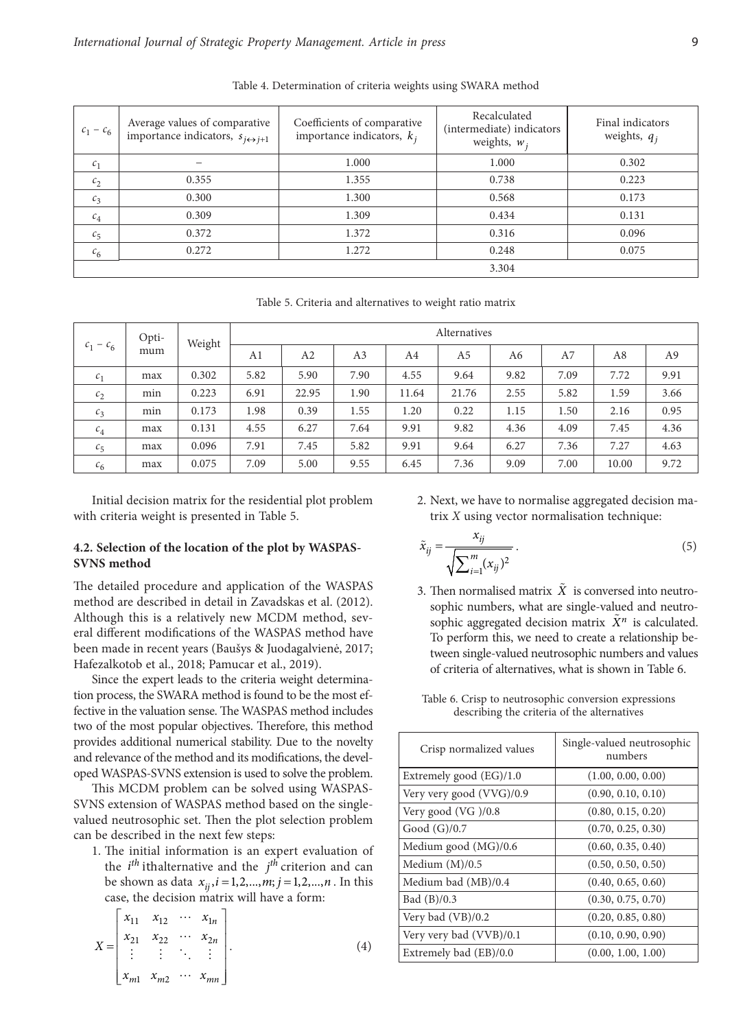| $c_1 - c_6$    | Average values of comparative<br>importance indicators, $s_{j \leftrightarrow j+1}$ | Coefficients of comparative<br>importance indicators, $k_i$ | Recalculated<br>(intermediate) indicators<br>weights, $w_i$ | Final indicators<br>weights, $q_i$ |
|----------------|-------------------------------------------------------------------------------------|-------------------------------------------------------------|-------------------------------------------------------------|------------------------------------|
| c <sub>1</sub> |                                                                                     | 1.000                                                       | 1.000                                                       | 0.302                              |
| c <sub>2</sub> | 0.355                                                                               | 1.355                                                       | 0.738                                                       | 0.223                              |
| $c_3$          | 0.300                                                                               | 1.300                                                       | 0.568                                                       | 0.173                              |
| $c_4$          | 0.309                                                                               | 1.309                                                       | 0.434                                                       | 0.131                              |
| $c_{5}$        | 0.372                                                                               | 1.372                                                       | 0.316                                                       | 0.096                              |
| c <sub>6</sub> | 0.272                                                                               | 1.272                                                       | 0.248                                                       | 0.075                              |
|                |                                                                                     |                                                             | 3.304                                                       |                                    |

Table 4. Determination of criteria weights using SWARA method

Table 5. Criteria and alternatives to weight ratio matrix

| Opti-<br>$c_1 - c_6$<br>mum |     |        | Alternatives |                |                |       |       |      |      |          |      |
|-----------------------------|-----|--------|--------------|----------------|----------------|-------|-------|------|------|----------|------|
|                             |     | Weight | A1           | A <sub>2</sub> | A <sub>3</sub> | A4    | A5    | A6   | A7   | A9<br>A8 |      |
| c <sub>1</sub>              | max | 0.302  | 5.82         | 5.90           | 7.90           | 4.55  | 9.64  | 9.82 | 7.09 | 7.72     | 9.91 |
| c <sub>2</sub>              | min | 0.223  | 6.91         | 22.95          | 1.90           | 11.64 | 21.76 | 2.55 | 5.82 | 1.59     | 3.66 |
| $c_3$                       | min | 0.173  | 1.98         | 0.39           | 1.55           | 1.20  | 0.22  | 1.15 | 1.50 | 2.16     | 0.95 |
| $c_4$                       | max | 0.131  | 4.55         | 6.27           | 7.64           | 9.91  | 9.82  | 4.36 | 4.09 | 7.45     | 4.36 |
| $c_{5}$                     | max | 0.096  | 7.91         | 7.45           | 5.82           | 9.91  | 9.64  | 6.27 | 7.36 | 7.27     | 4.63 |
| $c_{6}$                     | max | 0.075  | 7.09         | 5.00           | 9.55           | 6.45  | 7.36  | 9.09 | 7.00 | 10.00    | 9.72 |

Initial decision matrix for the residential plot problem with criteria weight is presented in Table 5.

## **4.2. Selection of the location of the plot by WASPAS-SVNS method**

The detailed procedure and application of the WASPAS method are described in detail in Zavadskas et al. (2012). Although this is a relatively new MCDM method, several different modifications of the WASPAS method have been made in recent years (Baušys & Juodagalvienė, 2017; Hafezalkotob et al., 2018; Pamucar et al., 2019).

Since the expert leads to the criteria weight determination process, the SWARA method is found to be the most effective in the valuation sense. The WASPAS method includes two of the most popular objectives. Therefore, this method provides additional numerical stability. Due to the novelty and relevance of the method and its modifications, the developed WASPAS-SVNS extension is used to solve the problem.

This MCDM problem can be solved using WASPAS-SVNS extension of WASPAS method based on the singlevalued neutrosophic set. Then the plot selection problem can be described in the next few steps:

1. The initial information is an expert evaluation of the  $i^{th}$  ithalternative and the  $j^{th}$  criterion and can be shown as data  $x_{ij}$ ,  $i = 1,2,...,m; j = 1,2,...,n$ . In this case, the decision matrix will have a form:

$$
X = \begin{bmatrix} x_{11} & x_{12} & \cdots & x_{1n} \\ x_{21} & x_{22} & \cdots & x_{2n} \\ \vdots & \vdots & \ddots & \vdots \\ x_{m1} & x_{m2} & \cdots & x_{mn} \end{bmatrix} .
$$
 (4)

2. Next, we have to normalise aggregated decision matrix *X* using vector normalisation technique:

$$
\tilde{x}_{ij} = \frac{x_{ij}}{\sqrt{\sum_{i=1}^{m} (x_{ij})^2}}.
$$
\n(5)

3. Then normalised matrix  $\tilde{X}$  is conversed into neutrosophic numbers, what are single-valued and neutrosophic aggregated decision matrix  $\tilde{X}^n$  is calculated. To perform this, we need to create a relationship between single-valued neutrosophic numbers and values of criteria of alternatives, what is shown in Table 6.

Table 6. Crisp to neutrosophic conversion expressions describing the criteria of the alternatives

| Crisp normalized values  | Single-valued neutrosophic<br>numbers |
|--------------------------|---------------------------------------|
| Extremely good (EG)/1.0  | (1.00, 0.00, 0.00)                    |
| Very very good (VVG)/0.9 | (0.90, 0.10, 0.10)                    |
| Very good $(VG)/0.8$     | (0.80, 0.15, 0.20)                    |
| Good (G)/0.7             | (0.70, 0.25, 0.30)                    |
| Medium good (MG)/0.6     | (0.60, 0.35, 0.40)                    |
| Medium $(M)/0.5$         | (0.50, 0.50, 0.50)                    |
| Medium bad (MB)/0.4      | (0.40, 0.65, 0.60)                    |
| Bad (B)/0.3              | (0.30, 0.75, 0.70)                    |
| Very bad (VB)/0.2        | (0.20, 0.85, 0.80)                    |
| Very very bad (VVB)/0.1  | (0.10, 0.90, 0.90)                    |
| Extremely bad (EB)/0.0   | (0.00, 1.00, 1.00)                    |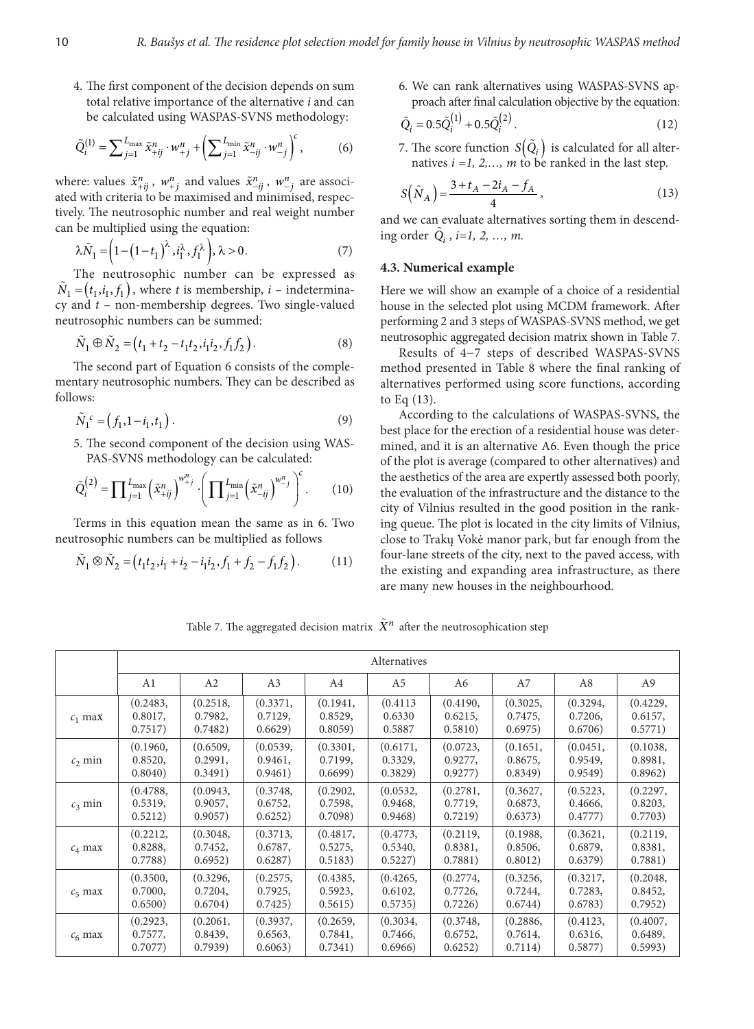4. The first component of the decision depends on sum total relative importance of the alternative *i* and can be calculated using WASPAS-SVNS methodology:

$$
\tilde{Q}_{i}^{(1)} = \sum_{j=1}^{L_{\text{max}}} \tilde{x}_{+ij}^{n} \cdot w_{+j}^{n} + \left(\sum_{j=1}^{L_{\text{min}}} \tilde{x}_{-ij}^{n} \cdot w_{-j}^{n}\right)^{c},\tag{6}
$$

where: values  $\tilde{x}^n_{+ij}$ ,  $w^n_{+j}$  and values  $\tilde{x}^n_{-ij}$ ,  $w^n_{-j}$  are associated with criteria to be maximised and minimised, respectively. The neutrosophic number and real weight number can be multiplied using the equation:

$$
\lambda \tilde{N}_1 = \left(1 - \left(1 - t_1\right)^{\lambda}, i_1^{\lambda}, f_1^{\lambda}\right), \lambda > 0. \tag{7}
$$

The neutrosophic number can be expressed as  $\tilde{N}_1 = (t_1, i_1, f_1)$ , where *t* is membership, *i* – indeterminacy and *t* – non-membership degrees. Two single-valued neutrosophic numbers can be summed:

$$
\tilde{N}_1 \oplus \tilde{N}_2 = (t_1 + t_2 - t_1 t_2, i_1 i_2, f_1 f_2).
$$
\n(8)

The second part of Equation 6 consists of the complementary neutrosophic numbers. They can be described as follows:

$$
\tilde{N}_1^c = (f_1, 1 - i_1, t_1).
$$
\n(9)

5. The second component of the decision using WAS-PAS-SVNS methodology can be calculated:

$$
\tilde{Q}_{i}^{(2)} = \prod_{j=1}^{L_{\max}} \left(\tilde{x}_{+ij}^{n}\right)^{w_{+j}^{n}} \cdot \left(\prod_{j=1}^{L_{\min}} \left(\tilde{x}_{-ij}^{n}\right)^{w_{-j}^{n}}\right)^{c}.
$$
 (10)

Terms in this equation mean the same as in 6. Two neutrosophic numbers can be multiplied as follows

$$
\tilde{N}_1 \otimes \tilde{N}_2 = (t_1 t_2, i_1 + i_2 - i_1 i_2, f_1 + f_2 - f_1 f_2).
$$
 (11)

6. We can rank alternatives using WASPAS-SVNS approach after final calculation objective by the equation:

$$
\tilde{Q}_i = 0.5 \tilde{Q}_i^{(1)} + 0.5 \tilde{Q}_i^{(2)}.
$$
\n(12)

7. The score function  $S(\tilde{Q}_i)$  is calculated for all alternatives  $i = 1, 2, \ldots, m$  to be ranked in the last step.

$$
S(\tilde{N}_A) = \frac{3 + t_A - 2i_A - f_A}{4},
$$
\n(13)

and we can evaluate alternatives sorting them in descending order *Qi* , *i=1, 2, …, m.*

#### **4.3. Numerical example**

Here we will show an example of a choice of a residential house in the selected plot using MCDM framework. After performing 2 and 3 steps of WASPAS-SVNS method, we get neutrosophic aggregated decision matrix shown in Table 7.

Results of 4−7 steps of described WASPAS-SVNS method presented in Table 8 where the final ranking of alternatives performed using score functions, according to Eq (13).

According to the calculations of WASPAS-SVNS, the best place for the erection of a residential house was determined, and it is an alternative A6. Even though the price of the plot is average (compared to other alternatives) and the aesthetics of the area are expertly assessed both poorly, the evaluation of the infrastructure and the distance to the city of Vilnius resulted in the good position in the ranking queue. The plot is located in the city limits of Vilnius, close to Trakų Vokė manor park, but far enough from the four-lane streets of the city, next to the paved access, with the existing and expanding area infrastructure, as there are many new houses in the neighbourhood.

Table 7. The aggregated decision matrix  $\tilde{X}^n$  after the neutrosophication step

|           |          |          |          |          | Alternatives |          |          |          |                |
|-----------|----------|----------|----------|----------|--------------|----------|----------|----------|----------------|
|           | A1       | A2       | A3       | A4       | A5           | A6       | A7       | A8       | A <sub>9</sub> |
| $c_1$ max | (0.2483, | (0.2518, | (0.3371, | (0.1941, | (0.4113)     | (0.4190, | (0.3025, | (0.3294, | (0.4229,       |
|           | 0.8017,  | 0.7982,  | 0.7129,  | 0.8529,  | 0.6330       | 0.6215,  | 0.7475,  | 0.7206,  | 0.6157,        |
|           | 0.7517)  | 0.7482)  | 0.6629)  | 0.8059)  | 0.5887       | 0.5810)  | 0.6975)  | 0.6706)  | 0.5771)        |
| $c_2$ min | (0.1960, | (0.6509, | (0.0539, | (0.3301, | (0.6171,     | (0.0723, | (0.1651, | (0.0451, | (0.1038,       |
|           | 0.8520,  | 0.2991,  | 0.9461,  | 0.7199,  | 0.3329,      | 0.9277,  | 0.8675,  | 0.9549.  | 0.8981,        |
|           | 0.8040)  | 0.3491)  | 0.9461)  | 0.6699   | 0.3829       | 0.9277)  | 0.8349)  | 0.9549)  | 0.8962)        |
| $c_3$ min | (0.4788, | (0.0943, | (0.3748, | (0.2902, | (0.0532,     | (0.2781, | (0.3627, | (0.5223, | (0.2297,       |
|           | 0.5319,  | 0.9057,  | 0.6752,  | 0.7598,  | 0.9468,      | 0.7719,  | 0.6873,  | 0.4666,  | 0.8203,        |
|           | 0.5212)  | 0.9057)  | 0.6252)  | 0.7098)  | 0.9468)      | 0.7219)  | 0.6373)  | 0.4777)  | 0.7703)        |
| $c_4$ max | (0.2212, | (0.3048, | (0.3713, | (0.4817, | (0.4773,     | (0.2119, | (0.1988, | (0.3621, | (0.2119,       |
|           | 0.8288,  | 0.7452,  | 0.6787,  | 0.5275,  | 0.5340,      | 0.8381,  | 0.8506,  | 0.6879,  | 0.8381,        |
|           | 0.7788   | 0.6952)  | 0.6287)  | 0.5183)  | 0.5227)      | 0.7881)  | 0.8012)  | 0.6379)  | 0.7881)        |
| $c_5$ max | (0.3500, | (0.3296, | (0.2575, | (0.4385, | (0.4265,     | (0.2774, | (0.3256, | (0.3217, | (0.2048,       |
|           | 0.7000,  | 0.7204,  | 0.7925,  | 0.5923,  | 0.6102,      | 0.7726,  | 0.7244,  | 0.7283,  | 0.8452,        |
|           | 0.6500)  | 0.6704)  | 0.7425)  | 0.5615)  | 0.5735)      | 0.7226   | 0.6744)  | 0.6783)  | 0.7952)        |
| $c_6$ max | (0.2923, | (0.2061, | (0.3937, | (0.2659, | (0.3034,     | (0.3748, | (0.2886, | (0.4123, | (0.4007,       |
|           | 0.7577,  | 0.8439,  | 0.6563,  | 0.7841,  | 0.7466,      | 0.6752,  | 0.7614,  | 0.6316,  | 0.6489,        |
|           | 0.7077)  | 0.7939)  | 0.6063)  | 0.7341)  | 0.6966       | 0.6252)  | 0.7114)  | 0.5877)  | 0.5993)        |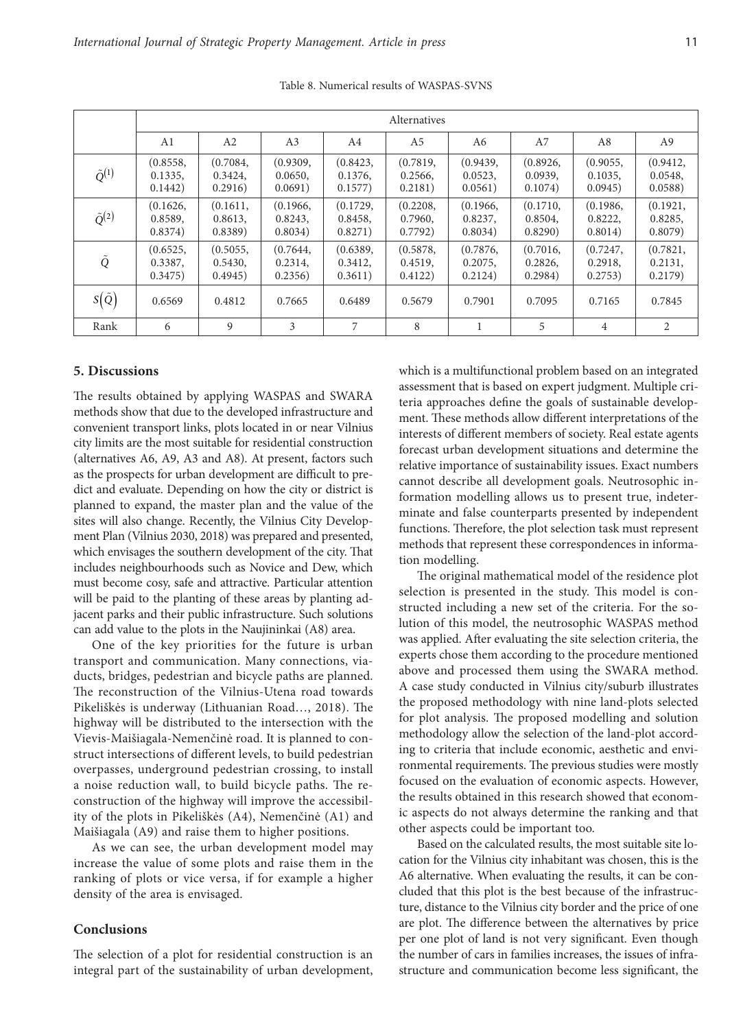|                   |                                | Alternatives                   |                                |                                |                                |                                |                                |                                |                                |  |  |  |
|-------------------|--------------------------------|--------------------------------|--------------------------------|--------------------------------|--------------------------------|--------------------------------|--------------------------------|--------------------------------|--------------------------------|--|--|--|
|                   | A1                             | A <sub>2</sub>                 | A <sub>3</sub>                 | A4                             | A5                             | A6                             | A7                             | A8                             | A <sub>9</sub>                 |  |  |  |
| $\tilde{Q}^{(1)}$ | (0.8558,<br>0.1335,<br>0.1442) | (0.7084,<br>0.3424,<br>0.2916) | (0.9309,<br>0.0650,<br>0.0691) | (0.8423,<br>0.1376,<br>0.1577) | (0.7819,<br>0.2566,<br>0.2181) | (0.9439,<br>0.0523,<br>0.0561) | (0.8926,<br>0.0939,<br>0.1074) | (0.9055,<br>0.1035,<br>0.0945) | (0.9412,<br>0.0548,<br>0.0588) |  |  |  |
| $\tilde{Q}^{(2)}$ | (0.1626,<br>0.8589,<br>0.8374) | (0.1611,<br>0.8613,<br>0.8389) | (0.1966,<br>0.8243,<br>0.8034) | (0.1729,<br>0.8458,<br>0.8271) | (0.2208,<br>0.7960,<br>0.7792) | (0.1966,<br>0.8237,<br>0.8034) | (0.1710,<br>0.8504,<br>0.8290) | (0.1986,<br>0.8222,<br>0.8014) | (0.1921,<br>0.8285,<br>0.8079) |  |  |  |
| $\ddot{Q}$        | (0.6525,<br>0.3387.<br>0.3475) | (0.5055,<br>0.5430.<br>0.4945) | (0.7644,<br>0.2314,<br>0.2356) | (0.6389,<br>0.3412,<br>0.3611) | (0.5878,<br>0.4519,<br>0.4122) | (0.7876,<br>0.2075.<br>0.2124) | (0.7016,<br>0.2826,<br>0.2984) | (0.7247,<br>0.2918.<br>0.2753) | (0.7821,<br>0.2131,<br>0.2179) |  |  |  |
| $s(\tilde{Q})$    | 0.6569                         | 0.4812                         | 0.7665                         | 0.6489                         | 0.5679                         | 0.7901                         | 0.7095                         | 0.7165                         | 0.7845                         |  |  |  |
| Rank              | 6                              | 9                              | 3                              | 7                              | 8                              |                                | 5                              | $\overline{4}$                 | $\overline{2}$                 |  |  |  |

Table 8. Numerical results of WASPAS-SVNS

# **5. Discussions**

The results obtained by applying WASPAS and SWARA methods show that due to the developed infrastructure and convenient transport links, plots located in or near Vilnius city limits are the most suitable for residential construction (alternatives A6, A9, A3 and A8). At present, factors such as the prospects for urban development are difficult to predict and evaluate. Depending on how the city or district is planned to expand, the master plan and the value of the sites will also change. Recently, the Vilnius City Development Plan (Vilnius 2030, 2018) was prepared and presented, which envisages the southern development of the city. That includes neighbourhoods such as Novice and Dew, which must become cosy, safe and attractive. Particular attention will be paid to the planting of these areas by planting adjacent parks and their public infrastructure. Such solutions can add value to the plots in the Naujininkai (A8) area.

One of the key priorities for the future is urban transport and communication. Many connections, viaducts, bridges, pedestrian and bicycle paths are planned. The reconstruction of the Vilnius-Utena road towards Pikeliškės is underway (Lithuanian Road…, 2018). The highway will be distributed to the intersection with the Vievis-Maišiagala-Nemenčinė road. It is planned to construct intersections of different levels, to build pedestrian overpasses, underground pedestrian crossing, to install a noise reduction wall, to build bicycle paths. The reconstruction of the highway will improve the accessibility of the plots in Pikeliškės (A4), Nemenčinė (A1) and Maišiagala (A9) and raise them to higher positions.

As we can see, the urban development model may increase the value of some plots and raise them in the ranking of plots or vice versa, if for example a higher density of the area is envisaged.

#### **Conclusions**

The selection of a plot for residential construction is an integral part of the sustainability of urban development,

which is a multifunctional problem based on an integrated assessment that is based on expert judgment. Multiple criteria approaches define the goals of sustainable development. These methods allow different interpretations of the interests of different members of society. Real estate agents forecast urban development situations and determine the relative importance of sustainability issues. Exact numbers cannot describe all development goals. Neutrosophic information modelling allows us to present true, indeterminate and false counterparts presented by independent functions. Therefore, the plot selection task must represent methods that represent these correspondences in information modelling.

The original mathematical model of the residence plot selection is presented in the study. This model is constructed including a new set of the criteria. For the solution of this model, the neutrosophic WASPAS method was applied. After evaluating the site selection criteria, the experts chose them according to the procedure mentioned above and processed them using the SWARA method. A case study conducted in Vilnius city/suburb illustrates the proposed methodology with nine land-plots selected for plot analysis. The proposed modelling and solution methodology allow the selection of the land-plot according to criteria that include economic, aesthetic and environmental requirements. The previous studies were mostly focused on the evaluation of economic aspects. However, the results obtained in this research showed that economic aspects do not always determine the ranking and that other aspects could be important too.

Based on the calculated results, the most suitable site location for the Vilnius city inhabitant was chosen, this is the A6 alternative. When evaluating the results, it can be concluded that this plot is the best because of the infrastructure, distance to the Vilnius city border and the price of one are plot. The difference between the alternatives by price per one plot of land is not very significant. Even though the number of cars in families increases, the issues of infrastructure and communication become less significant, the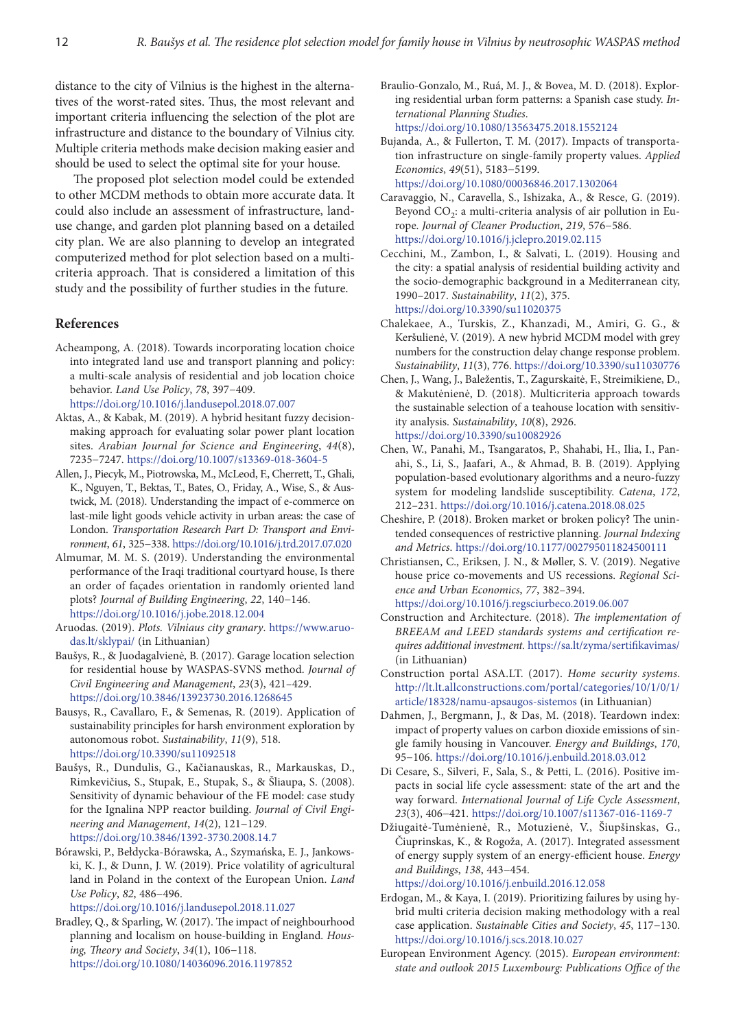distance to the city of Vilnius is the highest in the alternatives of the worst-rated sites. Thus, the most relevant and important criteria influencing the selection of the plot are infrastructure and distance to the boundary of Vilnius city. Multiple criteria methods make decision making easier and should be used to select the optimal site for your house.

The proposed plot selection model could be extended to other MCDM methods to obtain more accurate data. It could also include an assessment of infrastructure, landuse change, and garden plot planning based on a detailed city plan. We are also planning to develop an integrated computerized method for plot selection based on a multicriteria approach. That is considered a limitation of this study and the possibility of further studies in the future.

#### **References**

Acheampong, A. (2018). Towards incorporating location choice into integrated land use and transport planning and policy: a multi-scale analysis of residential and job location choice behavior. *Land Use Policy*, *78*, 397−409.

<https://doi.org/10.1016/j.landusepol.2018.07.007>

- Aktas, A., & Kabak, M. (2019). A hybrid hesitant fuzzy decisionmaking approach for evaluating solar power plant location sites. *Arabian Journal for Science and Engineering*, *44*(8), 7235−7247. <https://doi.org/10.1007/s13369-018-3604-5>
- Allen, J., Piecyk, M., Piotrowska, M., McLeod, F., Cherrett, T., Ghali, K., Nguyen, T., Bektas, T., Bates, O., Friday, A., Wise, S., & Austwick, M. (2018). Understanding the impact of e-commerce on last-mile light goods vehicle activity in urban areas: the case of London. *Transportation Research Part D: Transport and Environment*, *61*, 325−338. <https://doi.org/10.1016/j.trd.2017.07.020>
- Almumar, M. M. S. (2019). Understanding the environmental performance of the Iraqi traditional courtyard house, Is there an order of façades orientation in randomly oriented land plots? *Journal of Building Engineering*, *22*, 140−146. <https://doi.org/10.1016/j.jobe.2018.12.004>
- Aruodas. (2019). *Plots. Vilniaus city granary*. [https://www.aruo](https://www.aruodas.lt/sklypai/)[das.lt/sklypai/](https://www.aruodas.lt/sklypai/) (in Lithuanian)
- Baušys, R., & Juodagalvienė, B. (2017). Garage location selection for residential house by WASPAS-SVNS method. *Journal of Civil Engineering and Management*, *23*(3), 421–429. <https://doi.org/10.3846/13923730.2016.1268645>
- Bausys, R., Cavallaro, F., & Semenas, R. (2019). Application of sustainability principles for harsh environment exploration by autonomous robot. *Sustainability*, *11*(9), 518. <https://doi.org/10.3390/su11092518>
- Baušys, R., Dundulis, G., Kačianauskas, R., Markauskas, D., Rimkevičius, S., Stupak, E., Stupak, S., & Šliaupa, S. (2008). Sensitivity of dynamic behaviour of the FE model: case study for the Ignalina NPP reactor building. *Journal of Civil Engineering and Management*, *14*(2), 121−129. <https://doi.org/10.3846/1392-3730.2008.14.7>
- Bórawski, P., Bełdycka-Bórawska, A., Szymańska, E. J., Jankowski, K. J., & Dunn, J. W. (2019). Price volatility of agricultural land in Poland in the context of the European Union. *Land Use Policy*, *82*, 486−496.

<https://doi.org/10.1016/j.landusepol.2018.11.027>

Bradley, Q., & Sparling, W. (2017). The impact of neighbourhood planning and localism on house-building in England. *Housing, Theory and Society*, *34*(1), 106−118. <https://doi.org/10.1080/14036096.2016.1197852>

- Braulio-Gonzalo, M., Ruá, M. J., & Bovea, M. D. (2018). Exploring residential urban form patterns: a Spanish case study. *International Planning Studies*. <https://doi.org/10.1080/13563475.2018.1552124>
- Bujanda, A., & Fullerton, T. M. (2017). Impacts of transportation infrastructure on single-family property values. *Applied Economics*, *49*(51), 5183−5199. <https://doi.org/10.1080/00036846.2017.1302064>
- Caravaggio, N., Caravella, S., Ishizaka, A., & Resce, G. (2019). Beyond  $CO<sub>2</sub>$ : a multi-criteria analysis of air pollution in Europe. *Journal of Cleaner Production*, *219*, 576−586. <https://doi.org/10.1016/j.jclepro.2019.02.115>
- Cecchini, M., Zambon, I., & Salvati, L. (2019). Housing and the city: a spatial analysis of residential building activity and the socio-demographic background in a Mediterranean city, 1990–2017. *Sustainability*, *11*(2), 375. <https://doi.org/10.3390/su11020375>
- Chalekaee, A., Turskis, Z., Khanzadi, M., Amiri, G. G., & Keršulienė, V. (2019). A new hybrid MCDM model with grey numbers for the construction delay change response problem. *Sustainability*, *11*(3), 776. <https://doi.org/10.3390/su11030776>
- Chen, J., Wang, J., Baležentis, T., Zagurskaitė, F., Streimikiene, D., & Makutėnienė, D. (2018). Multicriteria approach towards the sustainable selection of a teahouse location with sensitivity analysis. *Sustainability*, *10*(8), 2926. <https://doi.org/10.3390/su10082926>
- Chen, W., Panahi, M., Tsangaratos, P., Shahabi, H., Ilia, I., Panahi, S., Li, S., Jaafari, A., & Ahmad, B. B. (2019). Applying population-based evolutionary algorithms and a neuro-fuzzy system for modeling landslide susceptibility. *Catena*, *172*, 212–231. <https://doi.org/10.1016/j.catena.2018.08.025>
- Cheshire, P. (2018). Broken market or broken policy? The unintended consequences of restrictive planning. *Journal Indexing and Metrics*. [https://doi.org/10.1177/002795011824500111](https://doi.org/10.1177%2F002795011824500111)
- Christiansen, C., Eriksen, J. N., & Møller, S. V. (2019). Negative house price co-movements and US recessions. *Regional Science and Urban Economics*, *77*, 382–394. <https://doi.org/10.1016/j.regsciurbeco.2019.06.007>
- Construction and Architecture. (2018). *The implementation of BREEAM and LEED standards systems and certification requires additional investment.* <https://sa.lt/zyma/sertifikavimas/> (in Lithuanian)
- Construction portal ASA.LT. (2017). *Home security systems*. [http://lt.lt.allconstructions.com/portal/categories/10/1/0/1/](%20http://lt.lt.allconstructions.com/portal/categories/10/1/0/1/article/18328/namu-apsaugos-sistemos%20) [article/18328/namu-apsaugos-sistemos](%20http://lt.lt.allconstructions.com/portal/categories/10/1/0/1/article/18328/namu-apsaugos-sistemos%20) (in Lithuanian)
- Dahmen, J., Bergmann, J., & Das, M. (2018). Teardown index: impact of property values on carbon dioxide emissions of single family housing in Vancouver. *Energy and Buildings*, *170*, 95−106. <https://doi.org/10.1016/j.enbuild.2018.03.012>
- Di Cesare, S., Silveri, F., Sala, S., & Petti, L. (2016). Positive impacts in social life cycle assessment: state of the art and the way forward. *International Journal of Life Cycle Assessment*, *23*(3), 406−421. <https://doi.org/10.1007/s11367-016-1169-7>
- Džiugaitė-Tumėnienė, R., Motuzienė, V., Šiupšinskas, G., Čiuprinskas, K., & Rogoža, A. (2017). Integrated assessment of energy supply system of an energy-efficient house. *Energy and Buildings*, *138*, 443−454.

<https://doi.org/10.1016/j.enbuild.2016.12.058>

- Erdogan, M., & Kaya, I. (2019). Prioritizing failures by using hybrid multi criteria decision making methodology with a real case application. *Sustainable Cities and Society*, *45*, 117−130. <https://doi.org/10.1016/j.scs.2018.10.027>
- European Environment Agency. (2015). *European environment: state and outlook 2015 Luxembourg: Publications Office of the*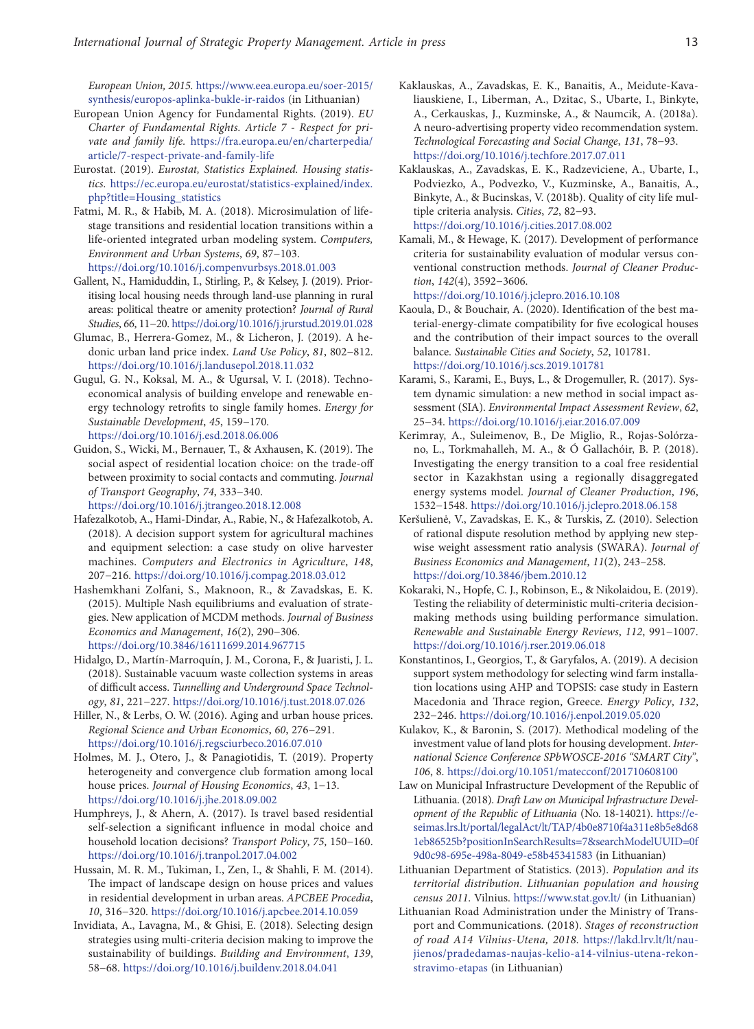*European Union, 2015.* [https://www.eea.europa.eu/soer-2015/](https://www.eea.europa.eu/soer-2015/synthesis/europos-aplinka-bukle-ir-raidos) [synthesis/europos-aplinka-bukle-ir-raidos](https://www.eea.europa.eu/soer-2015/synthesis/europos-aplinka-bukle-ir-raidos) (in Lithuanian)

- European Union Agency for Fundamental Rights. (2019). *EU Charter of Fundamental Rights. Article 7 - Respect for private and family life.* [https://fra.europa.eu/en/charterpedia/](https://fra.europa.eu/en/charterpedia/article/7-respect-private-and-family-life) [article/7-respect-private-and-family-life](https://fra.europa.eu/en/charterpedia/article/7-respect-private-and-family-life)
- Eurostat. (2019). *Eurostat, Statistics Explained. Housing statistics.* [https://ec.europa.eu/eurostat/statistics-explained/index.](https://ec.europa.eu/eurostat/statistics-explained/index.php?title=Housing_statistics) [php?title=Housing\\_statistics](https://ec.europa.eu/eurostat/statistics-explained/index.php?title=Housing_statistics)
- Fatmi, M. R., & Habib, M. A. (2018). Microsimulation of lifestage transitions and residential location transitions within a life-oriented integrated urban modeling system. *Computers, Environment and Urban Systems*, *69*, 87−103. <https://doi.org/10.1016/j.compenvurbsys.2018.01.003>
- Gallent, N., Hamiduddin, I., Stirling, P., & Kelsey, J. (2019). Prioritising local housing needs through land-use planning in rural areas: political theatre or amenity protection? *Journal of Rural Studies*, *66*, 11−20.<https://doi.org/10.1016/j.jrurstud.2019.01.028>
- Glumac, B., Herrera-Gomez, M., & Licheron, J. (2019). A hedonic urban land price index. *Land Use Policy*, *81*, 802−812. <https://doi.org/10.1016/j.landusepol.2018.11.032>
- Gugul, G. N., Koksal, M. A., & Ugursal, V. I. (2018). Technoeconomical analysis of building envelope and renewable energy technology retrofits to single family homes. *Energy for Sustainable Development*, *45*, 159−170. <https://doi.org/10.1016/j.esd.2018.06.006>
- Guidon, S., Wicki, M., Bernauer, T., & Axhausen, K. (2019). The social aspect of residential location choice: on the trade-off between proximity to social contacts and commuting. *Journal of Transport Geography*, *74*, 333−340. <https://doi.org/10.1016/j.jtrangeo.2018.12.008>
- Hafezalkotob, A., Hami-Dindar, A., Rabie, N., & Hafezalkotob, A. (2018). A decision support system for agricultural machines and equipment selection: a case study on olive harvester machines. *Computers and Electronics in Agriculture*, *148*, 207−216. <https://doi.org/10.1016/j.compag.2018.03.012>
- Hashemkhani Zolfani, S., Maknoon, R., & Zavadskas, E. K. (2015). Multiple Nash equilibriums and evaluation of strategies. New application of MCDM methods. *Journal of Business Economics and Management*, *16*(2), 290−306. <https://doi.org/10.3846/16111699.2014.967715>
- Hidalgo, D., Martín-Marroquín, J. M., Corona, F., & Juaristi, J. L. (2018). Sustainable vacuum waste collection systems in areas of difficult access. *Tunnelling and Underground Space Technology*, *81*, 221−227.<https://doi.org/10.1016/j.tust.2018.07.026>
- Hiller, N., & Lerbs, O. W. (2016). Aging and urban house prices. *Regional Science and Urban Economics*, *60*, 276−291. <https://doi.org/10.1016/j.regsciurbeco.2016.07.010>
- Holmes, M. J., Otero, J., & Panagiotidis, T. (2019). Property heterogeneity and convergence club formation among local house prices. *Journal of Housing Economics*, *43*, 1−13. <https://doi.org/10.1016/j.jhe.2018.09.002>
- Humphreys, J., & Ahern, A. (2017). Is travel based residential self-selection a significant influence in modal choice and household location decisions? *Transport Policy*, *75*, 150−160. <https://doi.org/10.1016/j.tranpol.2017.04.002>
- Hussain, M. R. M., Tukiman, I., Zen, I., & Shahli, F. M. (2014). The impact of landscape design on house prices and values in residential development in urban areas. *APCBEE Procedia*, *10*, 316−320. <https://doi.org/10.1016/j.apcbee.2014.10.059>
- Invidiata, A., Lavagna, M., & Ghisi, E. (2018). Selecting design strategies using multi-criteria decision making to improve the sustainability of buildings. *Building and Environment*, *139*, 58−68. <https://doi.org/10.1016/j.buildenv.2018.04.041>
- Kaklauskas, A., Zavadskas, E. K., Banaitis, A., Meidute-Kavaliauskiene, I., Liberman, A., Dzitac, S., Ubarte, I., Binkyte, A., Cerkauskas, J., Kuzminske, A., & Naumcik, A. (2018a). A neuro-advertising property video recommendation system. *Technological Forecasting and Social Change*, *131*, 78−93. <https://doi.org/10.1016/j.techfore.2017.07.011>
- Kaklauskas, A., Zavadskas, E. K., Radzeviciene, A., Ubarte, I., Podviezko, A., Podvezko, V., Kuzminske, A., Banaitis, A., Binkyte, A., & Bucinskas, V. (2018b). Quality of city life multiple criteria analysis. *Cities*, *72*, 82−93. <https://doi.org/10.1016/j.cities.2017.08.002>
- Kamali, M., & Hewage, K. (2017). Development of performance criteria for sustainability evaluation of modular versus conventional construction methods. *Journal of Cleaner Production*, *142*(4), 3592−3606.

<https://doi.org/10.1016/j.jclepro.2016.10.108>

- Kaoula, D., & Bouchair, A. (2020). Identification of the best material-energy-climate compatibility for five ecological houses and the contribution of their impact sources to the overall balance. *Sustainable Cities and Society*, *52*, 101781. <https://doi.org/10.1016/j.scs.2019.101781>
- Karami, S., Karami, E., Buys, L., & Drogemuller, R. (2017). System dynamic simulation: a new method in social impact assessment (SIA). *Environmental Impact Assessment Review*, *62*, 25−34. <https://doi.org/10.1016/j.eiar.2016.07.009>
- Kerimray, A., Suleimenov, B., De Miglio, R., Rojas-Solórzano, L., Torkmahalleh, M. A., & Ó Gallachóir, B. P. (2018). Investigating the energy transition to a coal free residential sector in Kazakhstan using a regionally disaggregated energy systems model. *Journal of Cleaner Production*, *196*, 1532−1548. <https://doi.org/10.1016/j.jclepro.2018.06.158>
- Keršulienė, V., Zavadskas, E. K., & Turskis, Z. (2010). Selection of rational dispute resolution method by applying new stepwise weight assessment ratio analysis (SWARA). *Journal of Business Economics and Management*, *11*(2), 243–258. <https://doi.org/10.3846/jbem.2010.12>
- Kokaraki, N., Hopfe, C. J., Robinson, E., & Nikolaidou, E. (2019). Testing the reliability of deterministic multi-criteria decisionmaking methods using building performance simulation. *Renewable and Sustainable Energy Reviews*, *112*, 991−1007. <https://doi.org/10.1016/j.rser.2019.06.018>
- Konstantinos, I., Georgios, T., & Garyfalos, A. (2019). A decision support system methodology for selecting wind farm installation locations using AHP and TOPSIS: case study in Eastern Macedonia and Thrace region, Greece. *Energy Policy*, *132*, 232−246. <https://doi.org/10.1016/j.enpol.2019.05.020>
- Kulakov, K., & Baronin, S. (2017). Methodical modeling of the investment value of land plots for housing development. *International Science Conference SPbWOSCE-2016 "SMART City"*, *106*, 8. <https://doi.org/10.1051/matecconf/201710608100>
- Law on Municipal Infrastructure Development of the Republic of Lithuania. (2018). *Draft Law on Municipal Infrastructure Development of the Republic of Lithuania* (No. 18-14021). [https://e](https://e-seimas.lrs.lt/portal/legalAct/lt/TAP/4b0e8710f4a311e8b5e8d681eb86525b?positionInSearchResults=7&searchModelUUID=0f9d0c98-695e-498a-8049-e58b45341583)[seimas.lrs.lt/portal/legalAct/lt/TAP/4b0e8710f4a311e8b5e8d68](https://e-seimas.lrs.lt/portal/legalAct/lt/TAP/4b0e8710f4a311e8b5e8d681eb86525b?positionInSearchResults=7&searchModelUUID=0f9d0c98-695e-498a-8049-e58b45341583) [1eb86525b?positionInSearchResults=7&searchModelUUID=0f](https://e-seimas.lrs.lt/portal/legalAct/lt/TAP/4b0e8710f4a311e8b5e8d681eb86525b?positionInSearchResults=7&searchModelUUID=0f9d0c98-695e-498a-8049-e58b45341583) [9d0c98-695e-498a-8049-e58b45341583](https://e-seimas.lrs.lt/portal/legalAct/lt/TAP/4b0e8710f4a311e8b5e8d681eb86525b?positionInSearchResults=7&searchModelUUID=0f9d0c98-695e-498a-8049-e58b45341583) (in Lithuanian)
- Lithuanian Department of Statistics. (2013). *Population and its territorial distribution*. *Lithuanian population and housing census 2011*. Vilnius. <https://www.stat.gov.lt/>(in Lithuanian)
- Lithuanian Road Administration under the Ministry of Transport and Communications. (2018). *Stages of reconstruction of road A14 Vilnius-Utena, 2018.* [https://lakd.lrv.lt/lt/nau](https://lakd.lrv.lt/lt/naujienos/pradedamas-naujas-kelio-a14-vilnius-utena-rekonstravimo-etapas)[jienos/pradedamas-naujas-kelio-a14-vilnius-utena-rekon](https://lakd.lrv.lt/lt/naujienos/pradedamas-naujas-kelio-a14-vilnius-utena-rekonstravimo-etapas)[stravimo-etapas](https://lakd.lrv.lt/lt/naujienos/pradedamas-naujas-kelio-a14-vilnius-utena-rekonstravimo-etapas) (in Lithuanian)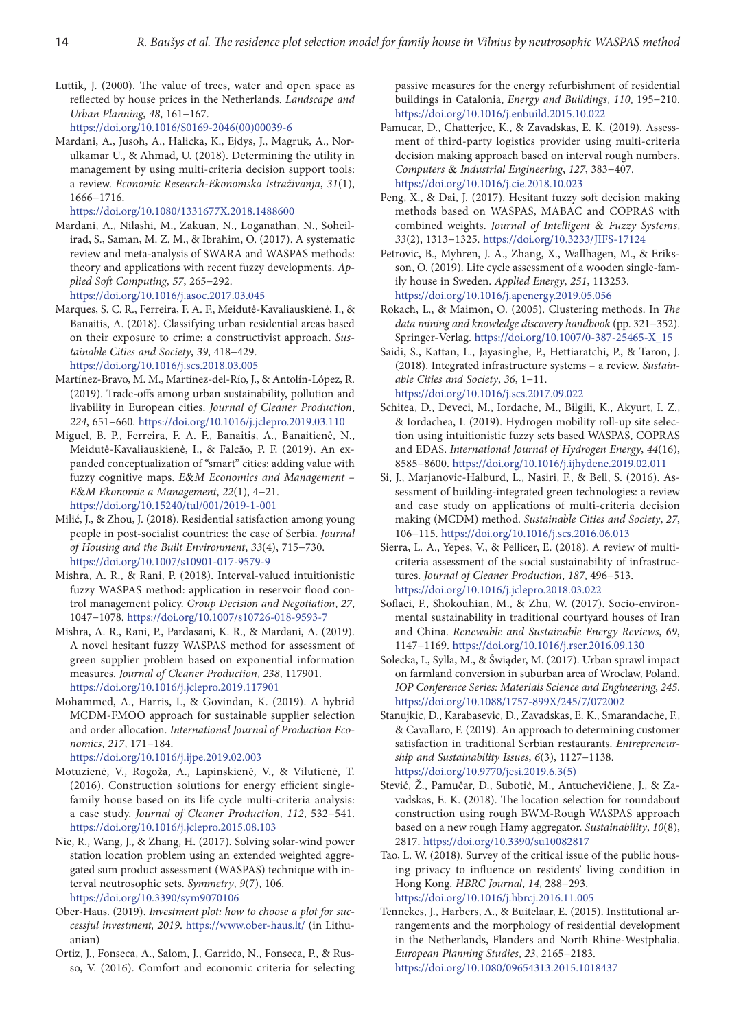Luttik, J. (2000). The value of trees, water and open space as reflected by house prices in the Netherlands. *Landscape and Urban Planning*, *48*, 161−167.

[https://doi.org/10.1016/S0169-2046\(00\)00039-6](https://doi.org/10.1016/S0169-2046(00)00039-6)

Mardani, A., Jusoh, A., Halicka, K., Ejdys, J., Magruk, A., Norulkamar U., & Ahmad, U. (2018). Determining the utility in management by using multi-criteria decision support tools: a review. *Economic Research-Ekonomska Istraživanja*, *31*(1), 1666−1716.

<https://doi.org/10.1080/1331677X.2018.1488600>

- Mardani, A., Nilashi, M., Zakuan, N., Loganathan, N., Soheilirad, S., Saman, M. Z. M., & Ibrahim, O. (2017). A systematic review and meta-analysis of SWARA and WASPAS methods: theory and applications with recent fuzzy developments. *Applied Soft Computing*, *57*, 265−292. <https://doi.org/10.1016/j.asoc.2017.03.045>
- Marques, S. C. R., Ferreira, F. A. F., Meidutė-Kavaliauskienė, I., & Banaitis, A. (2018). Classifying urban residential areas based on their exposure to crime: a constructivist approach. *Sustainable Cities and Society*, *39*, 418−429. <https://doi.org/10.1016/j.scs.2018.03.005>
- Martínez-Bravo, M. M., Martínez-del-Río, J., & Antolín-López, R. (2019). Trade-offs among urban sustainability, pollution and livability in European cities. *Journal of Cleaner Production*, *224*, 651−660. <https://doi.org/10.1016/j.jclepro.2019.03.110>
- Miguel, B. P., Ferreira, F. A. F., Banaitis, A., Banaitienė, N., Meidutė-Kavaliauskienė, I., & Falcão, P. F. (2019). An expanded conceptualization of "smart" cities: adding value with fuzzy cognitive maps. *E*&*M Economics and Management – E*&*M Ekonomie a Management*, *22*(1), 4−21. <https://doi.org/10.15240/tul/001/2019-1-001>
- Milić, J., & Zhou, J. (2018). Residential satisfaction among young people in post-socialist countries: the case of Serbia. *Journal of Housing and the Built Environment*, *33*(4), 715−730. <https://doi.org/10.1007/s10901-017-9579-9>
- Mishra, A. R., & Rani, P. (2018). Interval-valued intuitionistic fuzzy WASPAS method: application in reservoir flood control management policy. *Group Decision and Negotiation*, *27*, 1047−1078. <https://doi.org/10.1007/s10726-018-9593-7>
- Mishra, A. R., Rani, P., Pardasani, K. R., & Mardani, A. (2019). A novel hesitant fuzzy WASPAS method for assessment of green supplier problem based on exponential information measures. *Journal of Cleaner Production*, *238*, 117901. <https://doi.org/10.1016/j.jclepro.2019.117901>
- Mohammed, A., Harris, I., & Govindan, K. (2019). A hybrid MCDM-FMOO approach for sustainable supplier selection and order allocation. *International Journal of Production Economics*, *217*, 171−184.

<https://doi.org/10.1016/j.ijpe.2019.02.003>

- Motuzienė, V., Rogoža, A., Lapinskienė, V., & Vilutienė, T. (2016). Construction solutions for energy efficient singlefamily house based on its life cycle multi-criteria analysis: a case study. *Journal of Cleaner Production*, *112*, 532−541. <https://doi.org/10.1016/j.jclepro.2015.08.103>
- Nie, R., Wang, J., & Zhang, H. (2017). Solving solar-wind power station location problem using an extended weighted aggregated sum product assessment (WASPAS) technique with interval neutrosophic sets. *Symmetry*, *9*(7), 106. <https://doi.org/10.3390/sym9070106>
- Ober-Haus. (2019). *Investment plot: how to choose a plot for successful investment, 2019*. <https://www.ober-haus.lt/> (in Lithuanian)
- Ortiz, J., Fonseca, A., Salom, J., Garrido, N., Fonseca, P., & Russo, V. (2016). Comfort and economic criteria for selecting

passive measures for the energy refurbishment of residential buildings in Catalonia, *Energy and Buildings*, *110*, 195−210. <https://doi.org/10.1016/j.enbuild.2015.10.022>

- Pamucar, D., Chatterjee, K., & Zavadskas, E. K. (2019). Assessment of third-party logistics provider using multi-criteria decision making approach based on interval rough numbers. *Computers* & *Industrial Engineering*, *127*, 383−407. <https://doi.org/10.1016/j.cie.2018.10.023>
- Peng, X., & Dai, J. (2017). Hesitant fuzzy soft decision making methods based on WASPAS, MABAC and COPRAS with combined weights. *Journal of Intelligent* & *Fuzzy Systems*, *33*(2), 1313−1325. <https://doi.org/10.3233/JIFS-17124>
- Petrovic, B., Myhren, J. A., Zhang, X., Wallhagen, M., & Eriksson, O. (2019). Life cycle assessment of a wooden single-family house in Sweden. *Applied Energy*, *251*, 113253. <https://doi.org/10.1016/j.apenergy.2019.05.056>
- Rokach, L., & Maimon, O. (2005). Clustering methods. In *The data mining and knowledge discovery handbook* (pp. 321−352). Springer-Verlag. [https://doi.org/10.1007/0-387-25465-X\\_15](https://doi.org/10.1007/0-387-25465-X_15)
- Saidi, S., Kattan, L., Jayasinghe, P., Hettiaratchi, P., & Taron, J. (2018). Integrated infrastructure systems – a review. *Sustainable Cities and Society*, *36*, 1−11. <https://doi.org/10.1016/j.scs.2017.09.022>
- Schitea, D., Deveci, M., Iordache, M., Bilgili, K., Akyurt, I. Z., & Iordachea, I. (2019). Hydrogen mobility roll-up site selection using intuitionistic fuzzy sets based WASPAS, COPRAS and EDAS. *International Journal of Hydrogen Energy*, *44*(16), 8585−8600. <https://doi.org/10.1016/j.ijhydene.2019.02.011>
- Si, J., Marjanovic-Halburd, L., Nasiri, F., & Bell, S. (2016). Assessment of building-integrated green technologies: a review and case study on applications of multi-criteria decision making (MCDM) method. *Sustainable Cities and Society*, *27*, 106−115. <https://doi.org/10.1016/j.scs.2016.06.013>
- Sierra, L. A., Yepes, V., & Pellicer, E. (2018). A review of multicriteria assessment of the social sustainability of infrastructures. *Journal of Cleaner Production*, *187*, 496−513. <https://doi.org/10.1016/j.jclepro.2018.03.022>
- Soflaei, F., Shokouhian, M., & Zhu, W. (2017). Socio-environmental sustainability in traditional courtyard houses of Iran and China. *Renewable and Sustainable Energy Reviews*, *69*, 1147−1169. <https://doi.org/10.1016/j.rser.2016.09.130>
- Solecka, I., Sylla, M., & Świąder, M. (2017). Urban sprawl impact on farmland conversion in suburban area of Wroclaw, Poland. *IOP Conference Series: Materials Science and Engineering*, *245*. <https://doi.org/10.1088/1757-899X/245/7/072002>
- Stanujkic, D., Karabasevic, D., Zavadskas, E. K., Smarandache, F., & Cavallaro, F. (2019). An approach to determining customer satisfaction in traditional Serbian restaurants. *Entrepreneurship and Sustainability Issues*, *6*(3), 1127−1138. [https://doi.org/10.9770/jesi.2019.6.3\(5\)](https://doi.org/10.9770/jesi.2019.6.3(5))
- Stević, Ž., Pamučar, D., Subotić, M., Antuchevičiene, J., & Zavadskas, E. K. (2018). The location selection for roundabout construction using rough BWM-Rough WASPAS approach based on a new rough Hamy aggregator. *Sustainability*, *10*(8), 2817. <https://doi.org/10.3390/su10082817>
- Tao, L. W. (2018). Survey of the critical issue of the public housing privacy to influence on residents' living condition in Hong Kong. *HBRC Journal*, *14*, 288−293. <https://doi.org/10.1016/j.hbrcj.2016.11.005>
- Tennekes, J., Harbers, A., & Buitelaar, E. (2015). Institutional arrangements and the morphology of residential development in the Netherlands, Flanders and North Rhine-Westphalia. *European Planning Studies*, *23*, 2165−2183. <https://doi.org/10.1080/09654313.2015.1018437>